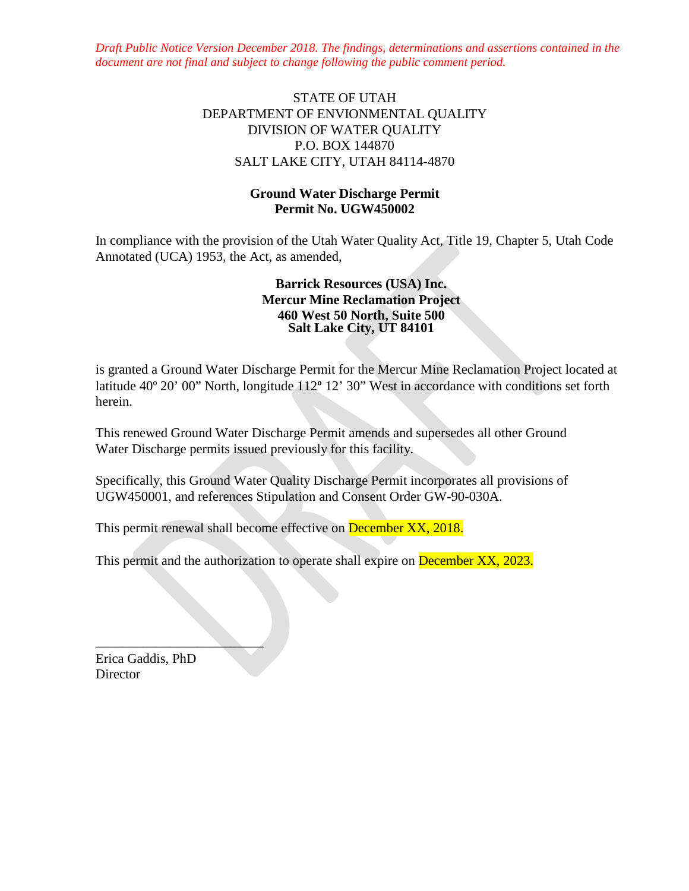*Draft Public Notice Version December 2018. The findings, determinations and assertions contained in the document are not final and subject to change following the public comment period.*

# STATE OF UTAH DEPARTMENT OF ENVIONMENTAL QUALITY DIVISION OF WATER QUALITY P.O. BOX 144870 SALT LAKE CITY, UTAH 84114-4870

#### **Ground Water Discharge Permit Permit No. UGW450002**

In compliance with the provision of the Utah Water Quality Act, Title 19, Chapter 5, Utah Code Annotated (UCA) 1953, the Act, as amended,

#### **Barrick Resources (USA) Inc. Mercur Mine Reclamation Project 460 West 50 North, Suite 500 Salt Lake City, UT 84101**

is granted a Ground Water Discharge Permit for the Mercur Mine Reclamation Project located at latitude 40º 20' 00" North, longitude 112**º** 12' 30" West in accordance with conditions set forth herein.

This renewed Ground Water Discharge Permit amends and supersedes all other Ground Water Discharge permits issued previously for this facility.

Specifically, this Ground Water Quality Discharge Permit incorporates all provisions of UGW450001, and references Stipulation and Consent Order GW-90-030A.

This permit renewal shall become effective on **December XX, 2018.** 

This permit and the authorization to operate shall expire on December XX, 2023.

Erica Gaddis, PhD **Director** 

 $\overline{\phantom{a}}$  , we can assume that the set of  $\overline{\phantom{a}}$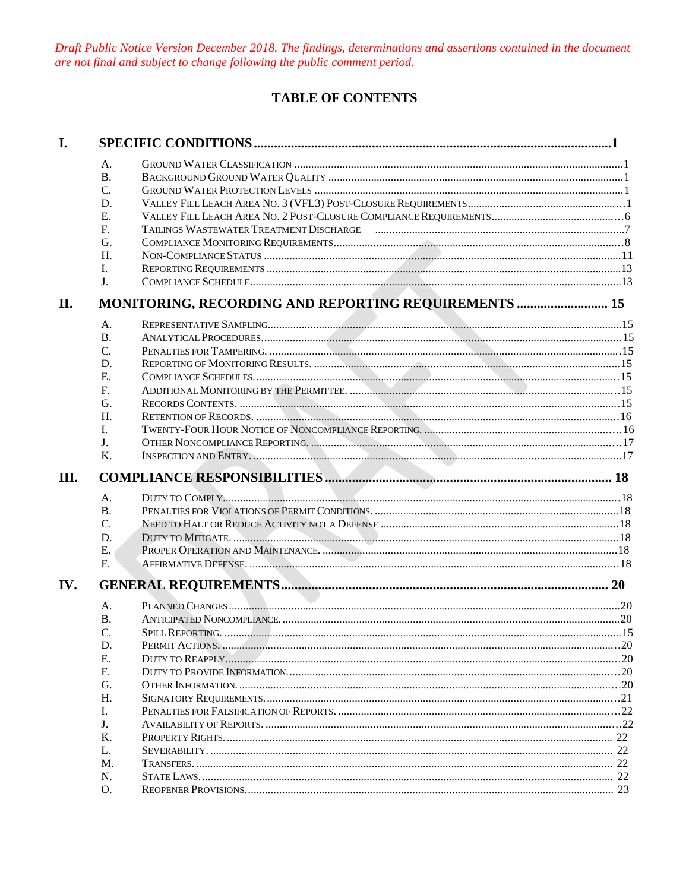Draft Public Notice Version December 2018. The findings, determinations and assertions contained in the document are not final and subject to change following the public comment period.

# **TABLE OF CONTENTS**

| I.   |                 |                                                                                                                |  |
|------|-----------------|----------------------------------------------------------------------------------------------------------------|--|
|      | A.              |                                                                                                                |  |
|      | <b>B.</b>       |                                                                                                                |  |
|      | C.              |                                                                                                                |  |
|      | D.              |                                                                                                                |  |
|      | E.              |                                                                                                                |  |
|      | F.              | TAILINGS WASTEWATER TREATMENT DISCHARGE FILLION CONTINUES TO ALL THE STATE THEORY TO A STEWATER TREATMENT DISC |  |
|      | G.              |                                                                                                                |  |
|      | H.              |                                                                                                                |  |
|      | L.              |                                                                                                                |  |
|      | J <sub>r</sub>  |                                                                                                                |  |
| II.  |                 | MONITORING, RECORDING AND REPORTING REQUIREMENTS  15                                                           |  |
|      | A.              |                                                                                                                |  |
|      | <b>B.</b>       |                                                                                                                |  |
|      | C.              |                                                                                                                |  |
|      | D.              |                                                                                                                |  |
|      | Е.              |                                                                                                                |  |
|      | F.              |                                                                                                                |  |
|      | G.              | RECORDS CONTENTS.                                                                                              |  |
|      | H.              |                                                                                                                |  |
|      | L.              |                                                                                                                |  |
|      | J.              |                                                                                                                |  |
|      | K.              |                                                                                                                |  |
| III. |                 |                                                                                                                |  |
|      | A.              |                                                                                                                |  |
|      | <b>B.</b>       |                                                                                                                |  |
|      | $\mathcal{C}$ . |                                                                                                                |  |
|      | D.              |                                                                                                                |  |
|      | E.              |                                                                                                                |  |
|      | $F_{\cdot}$     |                                                                                                                |  |
| IV.  |                 |                                                                                                                |  |
|      | А.              |                                                                                                                |  |
|      | <b>B.</b>       |                                                                                                                |  |
|      | C.              |                                                                                                                |  |
|      | D.              |                                                                                                                |  |
|      | Е.              |                                                                                                                |  |
|      | F.              |                                                                                                                |  |
|      | G.              |                                                                                                                |  |
|      | H.              |                                                                                                                |  |
|      | I.              |                                                                                                                |  |
|      | J.              |                                                                                                                |  |
|      | Κ.              |                                                                                                                |  |
|      | L.              |                                                                                                                |  |
|      | M.              |                                                                                                                |  |
|      | N.              |                                                                                                                |  |
|      | Ο.              |                                                                                                                |  |
|      |                 |                                                                                                                |  |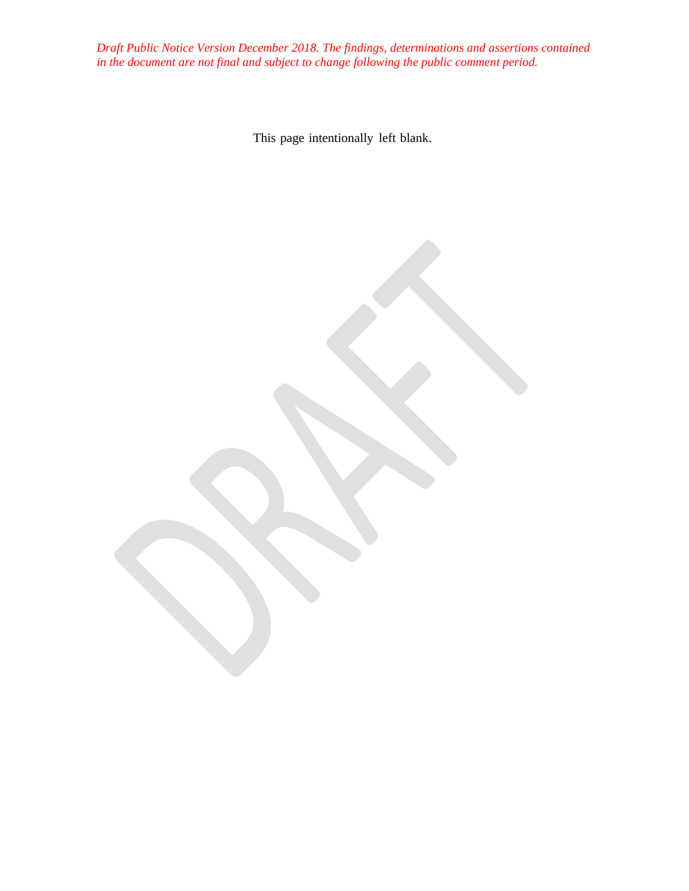*Draft Public Notice Version December 2018. The findings, determinations and assertions contained in the document are not final and subject to change following the public comment period.*

This page intentionally left blank.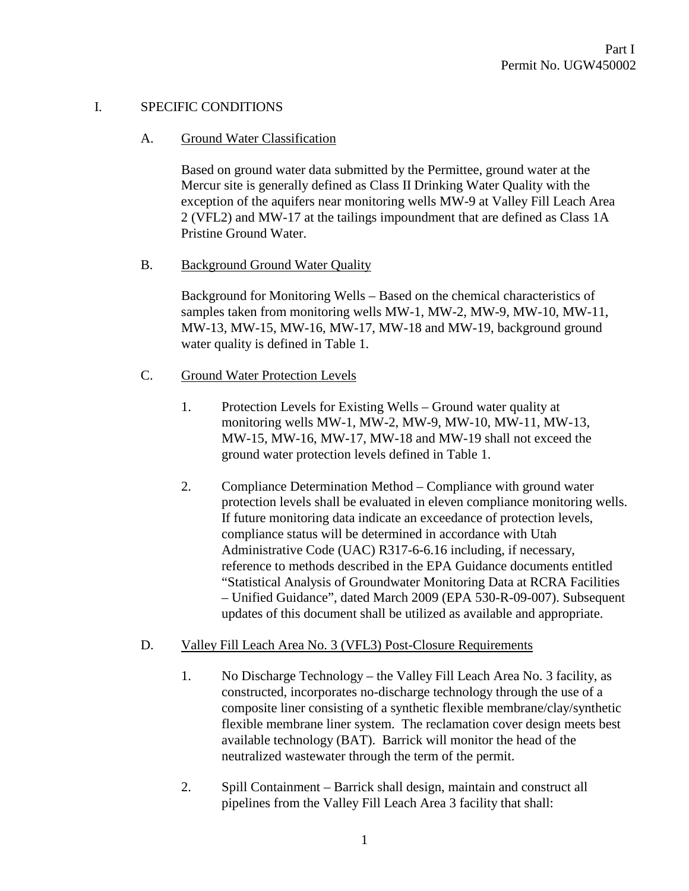#### I. SPECIFIC CONDITIONS

#### A. Ground Water Classification

Based on ground water data submitted by the Permittee, ground water at the Mercur site is generally defined as Class II Drinking Water Quality with the exception of the aquifers near monitoring wells MW-9 at Valley Fill Leach Area 2 (VFL2) and MW-17 at the tailings impoundment that are defined as Class 1A Pristine Ground Water.

#### B. Background Ground Water Quality

Background for Monitoring Wells – Based on the chemical characteristics of samples taken from monitoring wells MW-1, MW-2, MW-9, MW-10, MW-11, MW-13, MW-15, MW-16, MW-17, MW-18 and MW-19, background ground water quality is defined in Table 1.

#### C. Ground Water Protection Levels

- 1. Protection Levels for Existing Wells Ground water quality at monitoring wells MW-1, MW-2, MW-9, MW-10, MW-11, MW-13, MW-15, MW-16, MW-17, MW-18 and MW-19 shall not exceed the ground water protection levels defined in Table 1.
- 2. Compliance Determination Method Compliance with ground water protection levels shall be evaluated in eleven compliance monitoring wells. If future monitoring data indicate an exceedance of protection levels, compliance status will be determined in accordance with Utah Administrative Code (UAC) R317-6-6.16 including, if necessary, reference to methods described in the EPA Guidance documents entitled "Statistical Analysis of Groundwater Monitoring Data at RCRA Facilities – Unified Guidance", dated March 2009 (EPA 530-R-09-007). Subsequent updates of this document shall be utilized as available and appropriate.

#### D. Valley Fill Leach Area No. 3 (VFL3) Post-Closure Requirements

- 1. No Discharge Technology the Valley Fill Leach Area No. 3 facility, as constructed, incorporates no-discharge technology through the use of a composite liner consisting of a synthetic flexible membrane/clay/synthetic flexible membrane liner system. The reclamation cover design meets best available technology (BAT). Barrick will monitor the head of the neutralized wastewater through the term of the permit.
- 2. Spill Containment Barrick shall design, maintain and construct all pipelines from the Valley Fill Leach Area 3 facility that shall: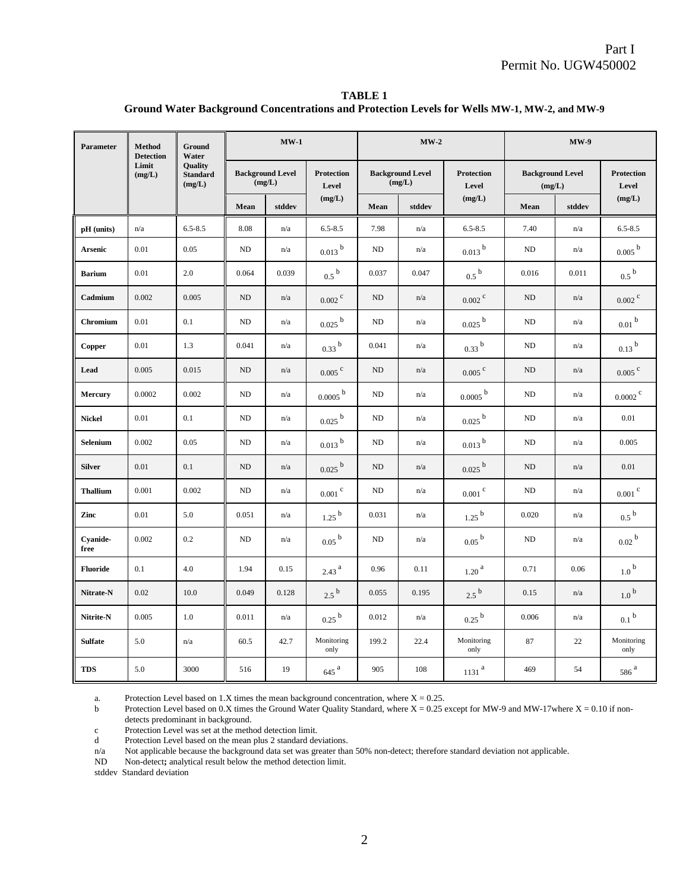**TABLE 1 Ground Water Background Concentrations and Protection Levels for Wells MW-1, MW-2, and MW-9**

| <b>Parameter</b> | <b>Method</b><br><b>Detection</b> | Ground<br>Water                      |           | $MW-1$                            |                            |       | $MW-2$                            |                            |                                   | $MW-9$ |                            |  |
|------------------|-----------------------------------|--------------------------------------|-----------|-----------------------------------|----------------------------|-------|-----------------------------------|----------------------------|-----------------------------------|--------|----------------------------|--|
|                  | Limit<br>(mg/L)                   | Quality<br><b>Standard</b><br>(mg/L) |           | <b>Background Level</b><br>(mg/L) | <b>Protection</b><br>Level |       | <b>Background Level</b><br>(mg/L) | <b>Protection</b><br>Level | <b>Background Level</b><br>(mg/L) |        | <b>Protection</b><br>Level |  |
|                  |                                   |                                      | Mean      | stddev                            | (mg/L)                     | Mean  | stddev                            | (mg/L)                     | Mean                              | stddev | (mg/L)                     |  |
| pH (units)       | n/a                               | $6.5 - 8.5$                          | 8.08      | n/a                               | $6.5 - 8.5$                | 7.98  | n/a                               | $6.5 - 8.5$                | 7.40                              | n/a    | $6.5 - 8.5$                |  |
| <b>Arsenic</b>   | 0.01                              | 0.05                                 | <b>ND</b> | n/a                               | $0.013\; ^{\rm b}$         | ND    | n/a                               | $0.013\,^{\rm b}$          | ND                                | n/a    | $0.005$ $^{\rm b}$         |  |
| <b>Barium</b>    | 0.01                              | 2.0                                  | 0.064     | 0.039                             | 0.5 <sup>b</sup>           | 0.037 | 0.047                             | 0.5 <sup>b</sup>           | 0.016                             | 0.011  | $0.5\,^{\rm b}$            |  |
| Cadmium          | 0.002                             | 0.005                                | <b>ND</b> | n/a                               | $0.002$ $^{\rm c}$         | ND    | n/a                               | $0.002$ $^{\rm c}$         | ND                                | n/a    | $0.002$ $^{\rm c}$         |  |
| Chromium         | 0.01                              | 0.1                                  | <b>ND</b> | n/a                               | $0.025\ ^{\rm b}$          | ND    | n/a                               | $0.025\,^{\rm b}$          | ND                                | n/a    | $0.01\,^{\rm b}$           |  |
| Copper           | 0.01                              | 1.3                                  | 0.041     | n/a                               | $0.33\,^{\rm b}$           | 0.041 | n/a                               | $0.33\,^{\rm b}$           | ND                                | n/a    | $0.13^{b}$                 |  |
| Lead             | 0.005                             | 0.015                                | ND        | n/a                               | $0.005$ $^{\rm c}$         | ND    | n/a                               | $0.005$ $^{\rm c}$         | ND                                | n/a    | $0.005$ $^{\rm c}$         |  |
| Mercury          | 0.0002                            | 0.002                                | ND        | n/a                               | $0.0005$ $^{\rm b}$        | ND    | n/a                               | $0.0005$ $^{\rm b}$        | ND                                | n/a    | $0.0002$ $^{\rm c}$        |  |
| <b>Nickel</b>    | 0.01                              | 0.1                                  | <b>ND</b> | n/a                               | $0.025$ $^{\rm b}$         | ND    | n/a                               | $0.025$ $^{\rm b}$         | ND                                | n/a    | 0.01                       |  |
| Selenium         | 0.002                             | 0.05                                 | <b>ND</b> | n/a                               | $0.013\; ^{\rm b}$         | ND    | n/a                               | $0.013$ $^{\rm b}$         | ND                                | n/a    | 0.005                      |  |
| <b>Silver</b>    | 0.01                              | 0.1                                  | ND        | n/a                               | $0.025$ <sup>b</sup>       | ND    | n/a                               | $0.025$ <sup>b</sup>       | ${\rm ND}$                        | n/a    | 0.01                       |  |
| <b>Thallium</b>  | 0.001                             | 0.002                                | ND        | n/a                               | $0.001\ ^{\rm c}$          | ND    | n/a                               | $0.001\,^{\mathrm{c}}$     | ND                                | n/a    | $0.001$ $^{\rm c}$         |  |
| Zinc             | 0.01                              | 5.0                                  | 0.051     | n/a                               | $1.25$ <sup>b</sup>        | 0.031 | n/a                               | $1.25$ <sup>b</sup>        | 0.020                             | n/a    | $0.5\,^{\rm b}$            |  |
| Cyanide-<br>free | 0.002                             | 0.2                                  | <b>ND</b> | n/a                               | $0.05\,^{\rm b}$           | ND    | n/a                               | $0.05\,^{\rm b}$           | ND                                | n/a    | $0.02$ $^{\rm b}$          |  |
| <b>Fluoride</b>  | 0.1                               | 4.0                                  | 1.94      | 0.15                              | $2.43\,^{\rm a}$           | 0.96  | 0.11                              | $1.20$ $^{\rm a}$          | 0.71                              | 0.06   | $1.0\,^{\rm b}$            |  |
| Nitrate-N        | 0.02                              | 10.0                                 | 0.049     | 0.128                             | $2.5^{b}$                  | 0.055 | 0.195                             | $2.5^{b}$                  | 0.15                              | n/a    | $1.0\,^{\rm b}$            |  |
| Nitrite-N        | 0.005                             | 1.0                                  | 0.011     | n/a                               | $0.25\,^{\rm b}$           | 0.012 | n/a                               | $0.25\,^{\rm b}$           | 0.006                             | n/a    | $0.1\,^{\rm b}$            |  |
| <b>Sulfate</b>   | 5.0                               | n/a                                  | 60.5      | 42.7                              | Monitoring<br>only         | 199.2 | 22.4                              | Monitoring<br>only         | 87                                | 22     | Monitoring<br>only         |  |
| <b>TDS</b>       | 5.0                               | 3000                                 | 516       | 19                                | $645\,$ $^{\rm a}$         | 905   | 108                               | $1131\,$ $^{\rm a}$        | 469                               | 54     | $586\,^{\rm a}$            |  |

a. Protection Level based on 1.X times the mean background concentration, where  $X = 0.25$ .

b Protection Level based on 0.X times the Ground Water Quality Standard, where X = 0.25 except for MW-9 and MW-17where X = 0.10 if nondetects predominant in background.

c Protection Level was set at the method detection limit.<br>Protection Level based on the mean plus 2 standard de

Protection Level based on the mean plus 2 standard deviations.

n/a Not applicable because the background data set was greater than 50% non-detect; therefore standard deviation not applicable.<br>ND Non-detect; analytical result below the method detection limit.

Non-detect; analytical result below the method detection limit.

stddev Standard deviation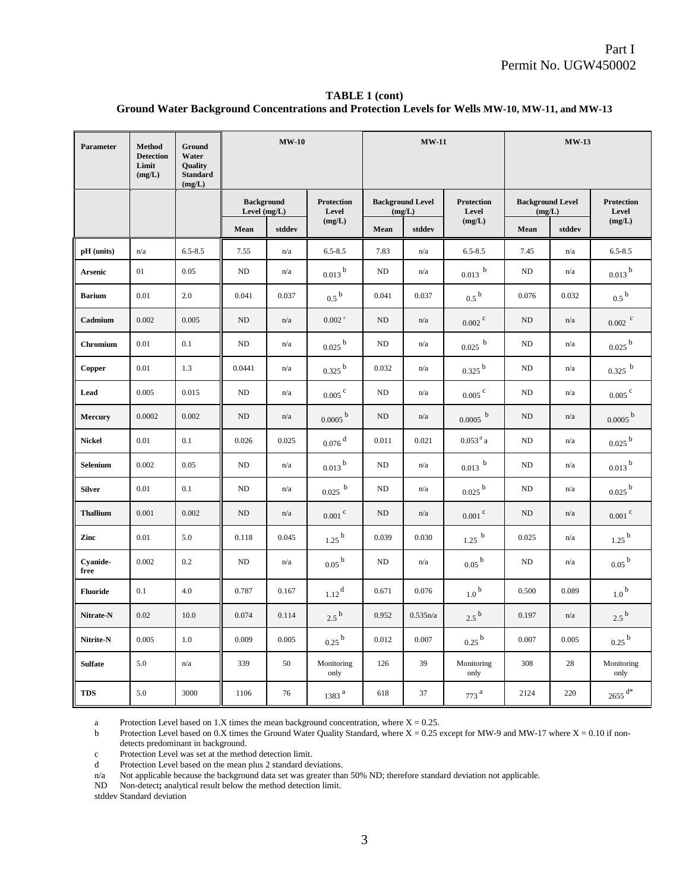**TABLE 1 (cont) Ground Water Background Concentrations and Protection Levels for Wells MW-10, MW-11, and MW-13**

| <b>Parameter</b> | <b>Method</b><br><b>Detection</b><br>Limit<br>(mg/L) | <b>Ground</b><br>Water<br>Quality<br><b>Standard</b><br>(mg/L) | $\mathbf{MW}\text{-}{\mathbf{10}}$ |        |                            |            | $MW-11$                           |                            | $MW-13$                           |        |                            |
|------------------|------------------------------------------------------|----------------------------------------------------------------|------------------------------------|--------|----------------------------|------------|-----------------------------------|----------------------------|-----------------------------------|--------|----------------------------|
|                  |                                                      |                                                                | <b>Background</b><br>Level (mg/L)  |        | <b>Protection</b><br>Level |            | <b>Background Level</b><br>(mg/L) | <b>Protection</b><br>Level | <b>Background Level</b><br>(mg/L) |        | <b>Protection</b><br>Level |
|                  |                                                      |                                                                | Mean                               | stddev | (mg/L)                     | Mean       | stddev                            | (mg/L)                     | Mean                              | stddev | (mg/L)                     |
| pH (units)       | n/a                                                  | $6.5 - 8.5$                                                    | 7.55                               | n/a    | $6.5 - 8.5$                | 7.83       | n/a                               | $6.5 - 8.5$                | 7.45                              | n/a    | $6.5 - 8.5$                |
| <b>Arsenic</b>   | 01                                                   | 0.05                                                           | ND                                 | n/a    | $0.013\,^{\rm b}$          | ND         | n/a                               | $0.013\ ^{\text{b}}$       | ND                                | n/a    | $0.013$ $^{\rm b}$         |
| <b>Barium</b>    | 0.01                                                 | $2.0\,$                                                        | 0.041                              | 0.037  | 0.5 <sup>b</sup>           | 0.041      | 0.037                             | 0.5 <sup>b</sup>           | 0.076                             | 0.032  | 0.5 <sup>b</sup>           |
| Cadmium          | 0.002                                                | 0.005                                                          | ${\rm ND}$                         | n/a    | $0.002$ $^{\circ}$         | ND         | n/a                               | $0.002$ $^{\rm c}$         | ${\rm ND}$                        | n/a    | $0.002$ $^{\rm c}$         |
| Chromium         | 0.01                                                 | 0.1                                                            | ND                                 | n/a    | $0.025$ $^{\rm b}$         | ${\rm ND}$ | n/a                               | $0.025$ $^{\mathrm{b}}$    | ND                                | n/a    | $0.025$ $^{\rm b}$         |
| Copper           | 0.01                                                 | 1.3                                                            | 0.0441                             | n/a    | $0.325\,^{\rm b}$          | 0.032      | n/a                               | $0.325$ $^{\rm b}$         | ND                                | n/a    | $0.325$ b                  |
| Lead             | 0.005                                                | 0.015                                                          | ND                                 | n/a    | $0.005$ $^{\rm c}$         | ${\rm ND}$ | n/a                               | $0.005$ <sup>c</sup>       | ND                                | n/a    | $0.005$ $^{\rm c}$         |
| <b>Mercury</b>   | 0.0002                                               | 0.002                                                          | ${\rm ND}$                         | n/a    | $0.0005$ <sup>b</sup>      | ${\rm ND}$ | n/a                               | $0.0005$ <sup>b</sup>      | ND                                | n/a    | $0.0005$ <sup>b</sup>      |
| <b>Nickel</b>    | 0.01                                                 | 0.1                                                            | 0.026                              | 0.025  | $0.076\,^{\rm d}$          | 0.011      | 0.021                             | $0.053d$ a                 | ND                                | n/a    | $0.025$ <sup>b</sup>       |
| Selenium         | 0.002                                                | 0.05                                                           | ND                                 | n/a    | $0.013^{b}$                | ${\rm ND}$ | n/a                               | $0.013$ b                  | ND                                | n/a    | $0.013\,^{\rm b}$          |
| <b>Silver</b>    | 0.01                                                 | 0.1                                                            | <b>ND</b>                          | n/a    | $0.025\ ^{\text{b}}$       | ND         | n/a                               | $0.025$ $^{\rm b}$         | ND                                | n/a    | $0.025$ $^{\rm b}$         |
| <b>Thallium</b>  | 0.001                                                | 0.002                                                          | ND                                 | n/a    | $0.001$ <sup>c</sup>       | $\rm ND$   | n/a                               | $0.001$ $^{\rm c}$         | ND                                | n/a    | $0.001$ $^{\rm c}$         |
| Zinc             | $0.01\,$                                             | 5.0                                                            | 0.118                              | 0.045  | $1.25\,^{\rm b}$           | 0.039      | 0.030                             | $1.25$ b                   | 0.025                             | n/a    | $1.25$ <sup>b</sup>        |
| Cyanide-<br>free | 0.002                                                | 0.2                                                            | ND                                 | n/a    | $0.05\,^{\rm b}$           | ${\rm ND}$ | n/a                               | $0.05\,^{\rm b}$           | ND                                | n/a    | $0.05\,^{\rm b}$           |
| <b>Fluoride</b>  | 0.1                                                  | 4.0                                                            | 0.787                              | 0.167  | $1.12^d$                   | 0.671      | 0.076                             | 1.0 <sup>b</sup>           | 0.500                             | 0.089  | 1.0 <sup>b</sup>           |
| Nitrate-N        | 0.02                                                 | 10.0                                                           | 0.074                              | 0.114  | 2.5 <sup>b</sup>           | 0.952      | 0.535n/a                          | $2.5\,^{\rm b}$            | 0.197                             | n/a    | $2.5\,^{\rm b}$            |
| Nitrite-N        | 0.005                                                | 1.0                                                            | 0.009                              | 0.005  | $0.25$ <sup>b</sup>        | 0.012      | 0.007                             | $0.25^{b}$                 | 0.007                             | 0.005  | $0.25\,^{\rm b}$           |
| <b>Sulfate</b>   | 5.0                                                  | n/a                                                            | 339                                | 50     | Monitoring<br>only         | 126        | 39                                | Monitoring<br>only         | 308                               | 28     | Monitoring<br>only         |
| <b>TDS</b>       | 5.0                                                  | 3000                                                           | 1106                               | 76     | $1383\,$ $^{\rm a}$        | 618        | 37                                | $773\,^{\rm a}$            | 2124                              | 220    | $2655\,^{\rm d*}$          |

a Protection Level based on 1.X times the mean background concentration, where  $X = 0.25$ .

b Protection Level based on 0.X times the Ground Water Quality Standard, where  $X = 0.25$  except for MW-9 and MW-17 where  $X = 0.10$  if non-

detects predominant in background.

c Protection Level was set at the method detection limit.

d Protection Level based on the mean plus 2 standard deviations.<br>
Not applicable because the background data set was greater than

Not applicable because the background data set was greater than 50% ND; therefore standard deviation not applicable.

ND Non-detect**;** analytical result below the method detection limit.

stddev Standard deviation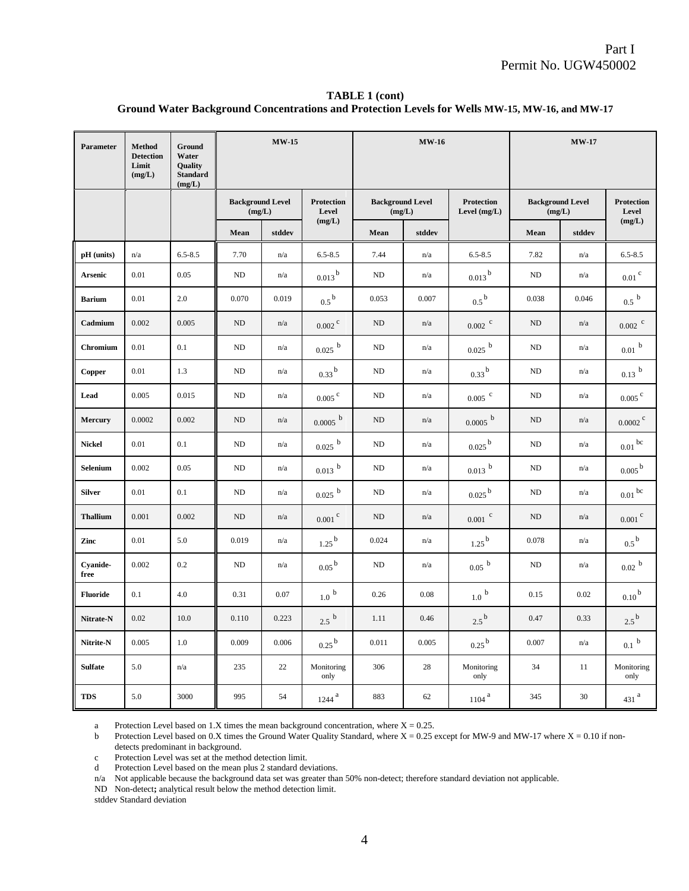**TABLE 1 (cont) Ground Water Background Concentrations and Protection Levels for Wells MW-15, MW-16, and MW-17**

| Parameter        | <b>Method</b><br><b>Detection</b><br>Limit<br>(mg/L) | Ground<br>Water<br><b>Quality</b><br><b>Standard</b><br>(mg/L) | <b>MW-15</b>                      |        |                            |                                   | <b>MW-16</b> |                                     | <b>MW-17</b>                      |        |                            |  |
|------------------|------------------------------------------------------|----------------------------------------------------------------|-----------------------------------|--------|----------------------------|-----------------------------------|--------------|-------------------------------------|-----------------------------------|--------|----------------------------|--|
|                  |                                                      |                                                                | <b>Background Level</b><br>(mg/L) |        | <b>Protection</b><br>Level | <b>Background Level</b><br>(mg/L) |              | <b>Protection</b><br>Level $(mg/L)$ | <b>Background Level</b><br>(mg/L) |        | <b>Protection</b><br>Level |  |
|                  |                                                      |                                                                | Mean                              | stddev | (mg/L)                     | Mean                              | stddev       |                                     | Mean                              | stddev | (mg/L)                     |  |
| pH (units)       | n/a                                                  | $6.5 - 8.5$                                                    | 7.70                              | n/a    | $6.5 - 8.5$                | 7.44                              | n/a          | $6.5 - 8.5$                         | 7.82                              | n/a    | $6.5 - 8.5$                |  |
| <b>Arsenic</b>   | 0.01                                                 | 0.05                                                           | ${\rm ND}$                        | n/a    | $0.013^{\,\mathrm{b}}$     | ND                                | n/a          | $0.013^{\,\mathrm{b}}$              | ND                                | n/a    | $0.01\,^{\mathrm{c}}$      |  |
| <b>Barium</b>    | 0.01                                                 | 2.0                                                            | 0.070                             | 0.019  | $0.5^{\mathrm{b}}$         | 0.053                             | 0.007        | $0.5^{\mathrm{b}}$                  | 0.038                             | 0.046  | $0.5\,$ $^{\rm b}$         |  |
| Cadmium          | 0.002                                                | 0.005                                                          | $\rm ND$                          | n/a    | $0.002$ $^{\rm c}$         | ${\rm ND}$                        | n/a          | $0.002$ $^{\circ}$                  | ND                                | n/a    | $0.002$ $^{\rm c}$         |  |
| Chromium         | 0.01                                                 | 0.1                                                            | ND                                | n/a    | $0.025$ $^{\rm b}$         | ND                                | n/a          | $0.025\ ^{\text{b}}$                | ND                                | n/a    | $0.01\ ^{\text{b}}$        |  |
| Copper           | 0.01                                                 | 1.3                                                            | $\rm ND$                          | n/a    | $0.33^{b}$                 | $\rm ND$                          | n/a          | $0.33^{b}$                          | ${\rm ND}$                        | n/a    | $0.13^{b}$                 |  |
| Lead             | 0.005                                                | 0.015                                                          | $\rm ND$                          | n/a    | $0.005\,^{\mathrm{c}}$     | $\rm ND$                          | n/a          | $0.005 \,$ $^{\rm c}$               | ${\rm ND}$                        | n/a    | $0.005\,^{\mathrm{c}}$     |  |
| Mercury          | 0.0002                                               | 0.002                                                          | $\rm ND$                          | n/a    | $0.0005$ <sup>b</sup>      | ${\rm ND}$                        | n/a          | $0.0005$ <sup>b</sup>               | ND                                | n/a    | $0.0002$ $^{\rm c}$        |  |
| <b>Nickel</b>    | $0.01\,$                                             | 0.1                                                            | $\rm ND$                          | n/a    | $0.025\ ^{\text{b}}$       | $\rm ND$                          | n/a          | $0.025^{b}$                         | ${\rm ND}$                        | n/a    | $0.01$ bc                  |  |
| Selenium         | 0.002                                                | 0.05                                                           | ND                                | n/a    | $0.013\ ^{\text{b}}$       | ND                                | n/a          | $0.013\ ^{\text{b}}$                | ND                                | n/a    | $0.005\,^{\rm b}$          |  |
| <b>Silver</b>    | $0.01\,$                                             | 0.1                                                            | $\rm ND$                          | n/a    | $0.025\ ^{\text{b}}$       | ND                                | n/a          | $0.025$ $^{\rm b}$                  | ${\rm ND}$                        | n/a    | $0.01\,^{\mathrm{bc}}$     |  |
| <b>Thallium</b>  | 0.001                                                | 0.002                                                          | $\rm ND$                          | n/a    | $0.001$ $^{\rm c}$         | ${\rm ND}$                        | n/a          | $0.001 \,$ $^{\rm c}$               | ND                                | n/a    | $0.001$ $^{\rm c}$         |  |
| Zinc             | 0.01                                                 | 5.0                                                            | 0.019                             | n/a    | $1.25^{b}$                 | 0.024                             | n/a          | $1.25^{b}$                          | 0.078                             | n/a    | $0.5^{\mathrm{b}}$         |  |
| Cyanide-<br>free | 0.002                                                | 0.2                                                            | $\rm ND$                          | n/a    | $0.05^{\,\rm b}$           | ND                                | n/a          | $0.05\ ^{\text{b}}$                 | ${\rm ND}$                        | n/a    | $0.02$ $^{\rm b}$          |  |
| <b>Fluoride</b>  | 0.1                                                  | 4.0                                                            | 0.31                              | 0.07   | $1.0\ ^{\rm b}$            | 0.26                              | 0.08         | $1.0\ ^{\rm b}$                     | 0.15                              | 0.02   | $0.10^{\,\mathrm{b}}$      |  |
| Nitrate-N        | 0.02                                                 | 10.0                                                           | 0.110                             | 0.223  | 2.5 <sup>b</sup>           | 1.11                              | 0.46         | $2.5^{\mathrm{b}}$                  | 0.47                              | 0.33   | $2.5^{\mathrm{b}}$         |  |
| Nitrite-N        | 0.005                                                | 1.0                                                            | 0.009                             | 0.006  | $0.25^{b}$                 | 0.011                             | 0.005        | $0.25^{b}$                          | 0.007                             | n/a    | $0.1\,$ $^{\rm b}$         |  |
| <b>Sulfate</b>   | 5.0                                                  | n/a                                                            | 235                               | 22     | Monitoring<br>only         | 306                               | 28           | Monitoring<br>only                  | 34                                | 11     | Monitoring<br>only         |  |
| <b>TDS</b>       | 5.0                                                  | 3000                                                           | 995                               | 54     | $1244$ $^{\rm a}$          | 883                               | 62           | $1104$ $^{\rm a}$                   | 345                               | 30     | $431\,$ $^{\rm a}$         |  |

a Protection Level based on 1.X times the mean background concentration, where  $X = 0.25$ .<br>Protection Level based on 0.X times the Ground Water Quality Standard, where  $X = 0.25$ Protection Level based on 0.X times the Ground Water Quality Standard, where  $X = 0.25$  except for MW-9 and MW-17 where  $X = 0.10$  if non-

detects predominant in background.

c Protection Level was set at the method detection limit.

d Protection Level based on the mean plus 2 standard deviations.

n/a Not applicable because the background data set was greater than 50% non-detect; therefore standard deviation not applicable.

ND Non-detect**;** analytical result below the method detection limit.

stddev Standard deviation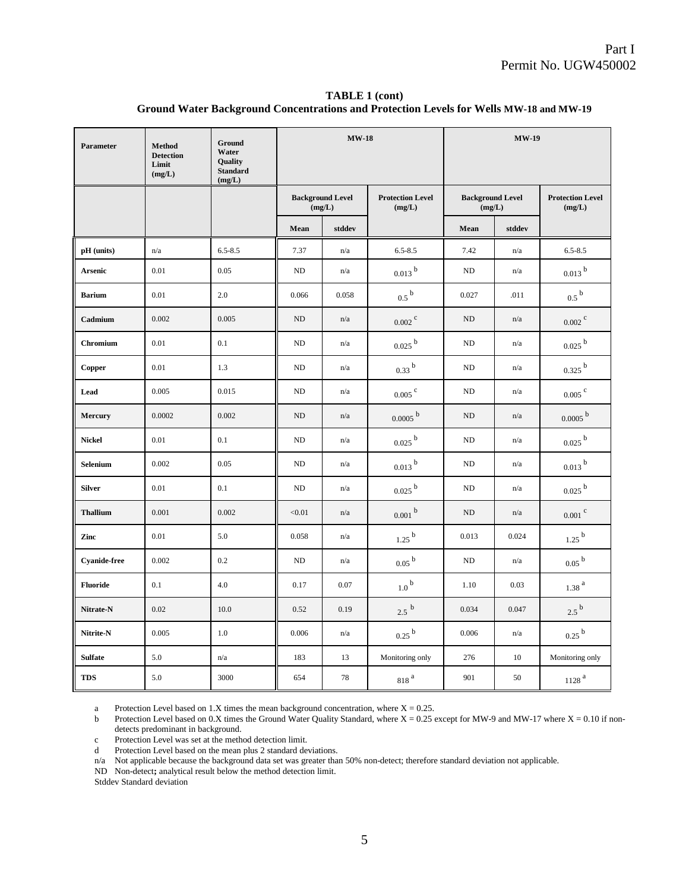| <b>TABLE 1 (cont)</b>                                                                  |
|----------------------------------------------------------------------------------------|
| Ground Water Background Concentrations and Protection Levels for Wells MW-18 and MW-19 |

| Parameter           | <b>Method</b><br><b>Detection</b><br>Limit<br>(mg/L) | <b>Ground</b><br>Water<br>Quality<br><b>Standard</b><br>(mg/L) |           | <b>MW-18</b>                      |                                   | <b>MW-19</b>                      |        |                                   |  |
|---------------------|------------------------------------------------------|----------------------------------------------------------------|-----------|-----------------------------------|-----------------------------------|-----------------------------------|--------|-----------------------------------|--|
|                     |                                                      |                                                                |           | <b>Background Level</b><br>(mg/L) | <b>Protection Level</b><br>(mg/L) | <b>Background Level</b><br>(mg/L) |        | <b>Protection Level</b><br>(mg/L) |  |
|                     |                                                      |                                                                | Mean      | stddev                            |                                   | Mean                              | stddev |                                   |  |
| pH (units)          | n/a                                                  | $6.5 - 8.5$                                                    | 7.37      | n/a                               | $6.5 - 8.5$                       | 7.42                              | n/a    | $6.5 - 8.5$                       |  |
| Arsenic             | 0.01                                                 | 0.05                                                           | $\rm ND$  | n/a                               | $0.013$ $^{\rm b}$                | ${\rm ND}$                        | n/a    | $0.013^{b}$                       |  |
| <b>Barium</b>       | 0.01                                                 | 2.0                                                            | 0.066     | 0.058                             | $0.5^{b}$                         | 0.027                             | .011   | $0.5^{b}$                         |  |
| Cadmium             | 0.002                                                | 0.005                                                          | ND        | n/a                               | $0.002$ $^{\rm c}$                | ND                                | n/a    | $0.002$ $^{\rm c}$                |  |
| Chromium            | 0.01                                                 | 0.1                                                            | ND        | n/a                               | $0.025\,^{\rm b}$                 | ND                                | n/a    | $0.025\,^{\rm b}$                 |  |
| Copper              | 0.01                                                 | 1.3                                                            | <b>ND</b> | n/a                               | $0.33^{b}$                        | ND                                | n/a    | $0.325\,^{\rm b}$                 |  |
| Lead                | 0.005                                                | 0.015                                                          | ND        | n/a                               | $0.005$ $^{\rm c}$                | ND                                | n/a    | $0.005$ $^{\rm c}$                |  |
| <b>Mercury</b>      | 0.0002                                               | 0.002                                                          | ND        | n/a                               | $0.0005$ $^{\rm b}$               | ND                                | n/a    | $0.0005$ $^{\rm b}$               |  |
| <b>Nickel</b>       | 0.01                                                 | 0.1                                                            | $\rm ND$  | n/a                               | $0.025$ $^{\rm b}$                | ${\rm ND}$                        | n/a    | $0.025\,^{\rm b}$                 |  |
| Selenium            | 0.002                                                | 0.05                                                           | ND        | n/a                               | $0.013\,^{\rm b}$                 | ND                                | n/a    | $0.013$ $^{\rm b}$                |  |
| <b>Silver</b>       | 0.01                                                 | 0.1                                                            | ND        | n/a                               | $0.025$ <sup>b</sup>              | ND                                | n/a    | $0.025\,^{\rm b}$                 |  |
| <b>Thallium</b>     | 0.001                                                | 0.002                                                          | < 0.01    | n/a                               | $0.001\ ^{\rm b}$                 | ${\rm ND}$                        | n/a    | $0.001$ $^{\rm c}$                |  |
| Zinc                | 0.01                                                 | 5.0                                                            | 0.058     | n/a                               | $1.25\,^{\rm b}$                  | 0.013                             | 0.024  | $1.25\,^{\rm b}$                  |  |
| <b>Cyanide-free</b> | 0.002                                                | 0.2                                                            | ND        | n/a                               | 0.05 <sup>b</sup>                 | ND                                | n/a    | $0.05\,^{\rm b}$                  |  |
| <b>Fluoride</b>     | 0.1                                                  | 4.0                                                            | 0.17      | 0.07                              | $1.0\,^{\rm b}$                   | 1.10                              | 0.03   | $1.38\,^{\rm a}$                  |  |
| Nitrate-N           | 0.02                                                 | 10.0                                                           | 0.52      | 0.19                              | $2.5\text{ h}$                    | 0.034                             | 0.047  | $2.5^{\mathrm{b}}$                |  |
| Nitrite-N           | 0.005                                                | $1.0\,$                                                        | 0.006     | n/a                               | $0.25$ <sup>b</sup>               | 0.006                             | n/a    | $0.25\,^{\rm b}$                  |  |
| <b>Sulfate</b>      | 5.0                                                  | n/a                                                            | 183       | 13                                | Monitoring only                   | 276                               | 10     | Monitoring only                   |  |
| <b>TDS</b>          | 5.0                                                  | 3000                                                           | 654       | 78                                | $818\,$ $^{\rm a}$                | 901                               | 50     | $1128$ $^{\rm a}$                 |  |

a Protection Level based on 1.X times the mean background concentration, where  $X = 0.25$ .<br>Protection Level based on 0.X times the Ground Water Quality Standard, where  $X = 0.25$ 

Protection Level based on 0.X times the Ground Water Quality Standard, where  $X = 0.25$  except for MW-9 and MW-17 where  $X = 0.10$  if nondetects predominant in background.

c Protection Level was set at the method detection limit.

d Protection Level based on the mean plus 2 standard deviations.

n/a Not applicable because the background data set was greater than 50% non-detect; therefore standard deviation not applicable.

ND Non-detect**;** analytical result below the method detection limit.

Stddev Standard deviation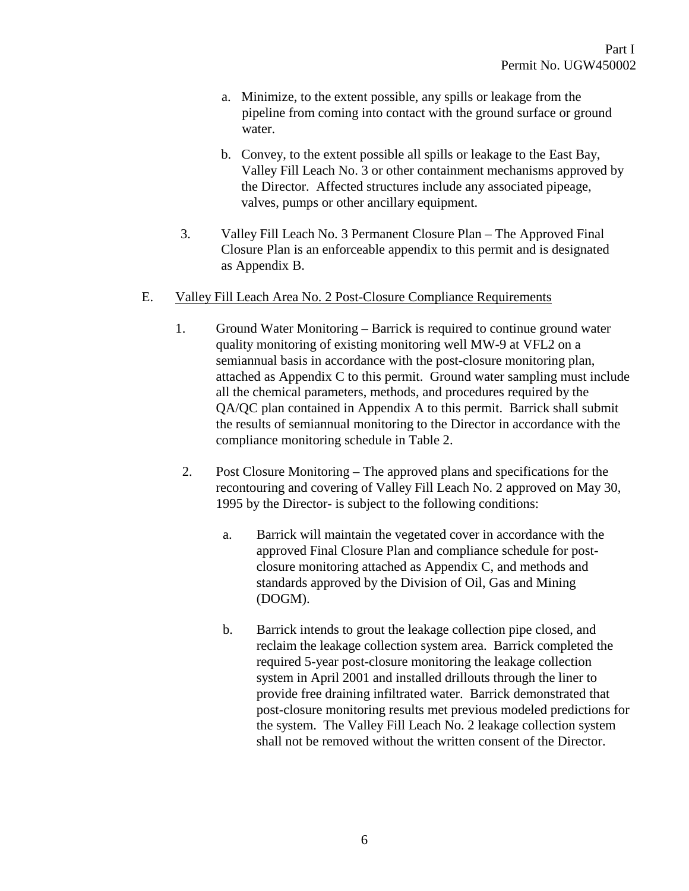- a. Minimize, to the extent possible, any spills or leakage from the pipeline from coming into contact with the ground surface or ground water.
- b. Convey, to the extent possible all spills or leakage to the East Bay, Valley Fill Leach No. 3 or other containment mechanisms approved by the Director. Affected structures include any associated pipeage, valves, pumps or other ancillary equipment.
- 3. Valley Fill Leach No. 3 Permanent Closure Plan The Approved Final Closure Plan is an enforceable appendix to this permit and is designated as Appendix B.

#### E. Valley Fill Leach Area No. 2 Post-Closure Compliance Requirements

- 1. Ground Water Monitoring Barrick is required to continue ground water quality monitoring of existing monitoring well MW-9 at VFL2 on a semiannual basis in accordance with the post-closure monitoring plan, attached as Appendix C to this permit. Ground water sampling must include all the chemical parameters, methods, and procedures required by the QA/QC plan contained in Appendix A to this permit. Barrick shall submit the results of semiannual monitoring to the Director in accordance with the compliance monitoring schedule in Table 2.
- 2. Post Closure Monitoring The approved plans and specifications for the recontouring and covering of Valley Fill Leach No. 2 approved on May 30, 1995 by the Director- is subject to the following conditions:
	- a. Barrick will maintain the vegetated cover in accordance with the approved Final Closure Plan and compliance schedule for postclosure monitoring attached as Appendix C, and methods and standards approved by the Division of Oil, Gas and Mining (DOGM).
	- b. Barrick intends to grout the leakage collection pipe closed, and reclaim the leakage collection system area. Barrick completed the required 5-year post-closure monitoring the leakage collection system in April 2001 and installed drillouts through the liner to provide free draining infiltrated water. Barrick demonstrated that post-closure monitoring results met previous modeled predictions for the system. The Valley Fill Leach No. 2 leakage collection system shall not be removed without the written consent of the Director.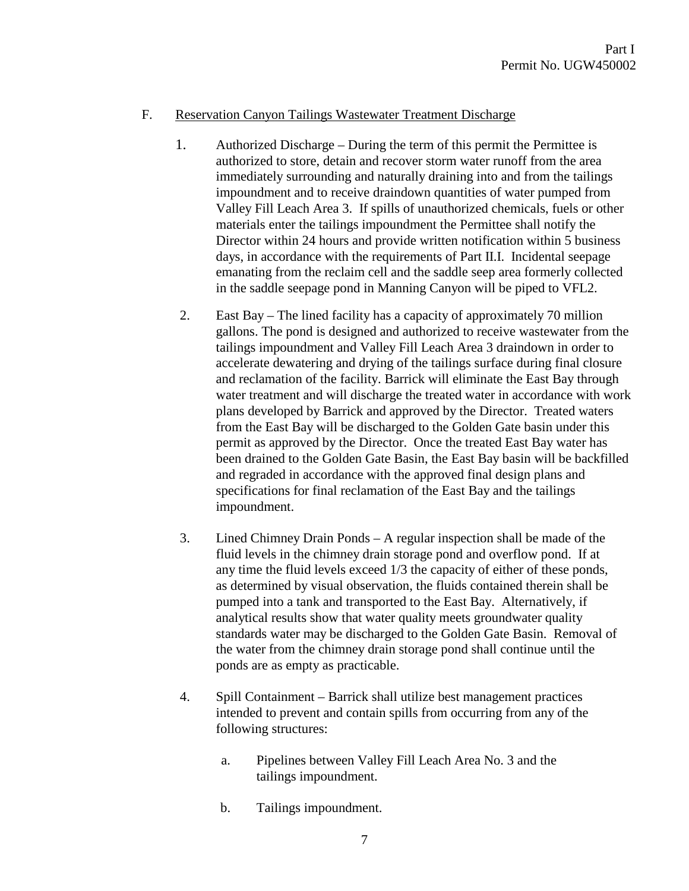#### F. Reservation Canyon Tailings Wastewater Treatment Discharge

- 1. Authorized Discharge During the term of this permit the Permittee is authorized to store, detain and recover storm water runoff from the area immediately surrounding and naturally draining into and from the tailings impoundment and to receive draindown quantities of water pumped from Valley Fill Leach Area 3. If spills of unauthorized chemicals, fuels or other materials enter the tailings impoundment the Permittee shall notify the Director within 24 hours and provide written notification within 5 business days, in accordance with the requirements of Part II.I. Incidental seepage emanating from the reclaim cell and the saddle seep area formerly collected in the saddle seepage pond in Manning Canyon will be piped to VFL2.
- 2. East Bay The lined facility has a capacity of approximately 70 million gallons. The pond is designed and authorized to receive wastewater from the tailings impoundment and Valley Fill Leach Area 3 draindown in order to accelerate dewatering and drying of the tailings surface during final closure and reclamation of the facility. Barrick will eliminate the East Bay through water treatment and will discharge the treated water in accordance with work plans developed by Barrick and approved by the Director. Treated waters from the East Bay will be discharged to the Golden Gate basin under this permit as approved by the Director. Once the treated East Bay water has been drained to the Golden Gate Basin, the East Bay basin will be backfilled and regraded in accordance with the approved final design plans and specifications for final reclamation of the East Bay and the tailings impoundment.
- 3. Lined Chimney Drain Ponds A regular inspection shall be made of the fluid levels in the chimney drain storage pond and overflow pond. If at any time the fluid levels exceed 1/3 the capacity of either of these ponds, as determined by visual observation, the fluids contained therein shall be pumped into a tank and transported to the East Bay. Alternatively, if analytical results show that water quality meets groundwater quality standards water may be discharged to the Golden Gate Basin. Removal of the water from the chimney drain storage pond shall continue until the ponds are as empty as practicable.
- 4. Spill Containment Barrick shall utilize best management practices intended to prevent and contain spills from occurring from any of the following structures:
	- a. Pipelines between Valley Fill Leach Area No. 3 and the tailings impoundment.
	- b. Tailings impoundment.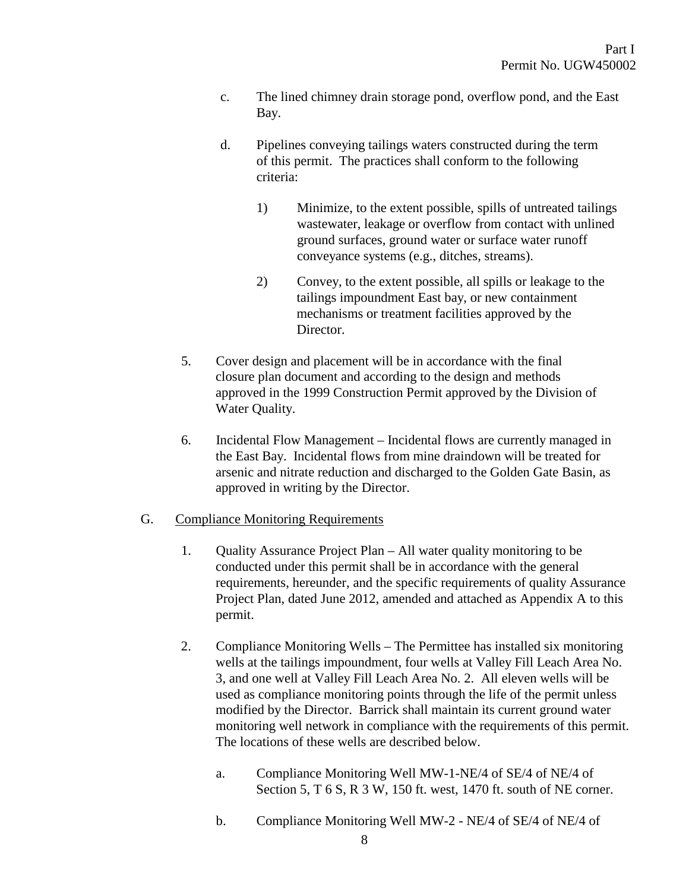- c. The lined chimney drain storage pond, overflow pond, and the East Bay.
- d. Pipelines conveying tailings waters constructed during the term of this permit. The practices shall conform to the following criteria:
	- 1) Minimize, to the extent possible, spills of untreated tailings wastewater, leakage or overflow from contact with unlined ground surfaces, ground water or surface water runoff conveyance systems (e.g., ditches, streams).
	- 2) Convey, to the extent possible, all spills or leakage to the tailings impoundment East bay, or new containment mechanisms or treatment facilities approved by the Director.
- 5. Cover design and placement will be in accordance with the final closure plan document and according to the design and methods approved in the 1999 Construction Permit approved by the Division of Water Quality.
- 6. Incidental Flow Management Incidental flows are currently managed in the East Bay. Incidental flows from mine draindown will be treated for arsenic and nitrate reduction and discharged to the Golden Gate Basin, as approved in writing by the Director.

## G. Compliance Monitoring Requirements

- 1. Quality Assurance Project Plan All water quality monitoring to be conducted under this permit shall be in accordance with the general requirements, hereunder, and the specific requirements of quality Assurance Project Plan, dated June 2012, amended and attached as Appendix A to this permit.
- 2. Compliance Monitoring Wells The Permittee has installed six monitoring wells at the tailings impoundment, four wells at Valley Fill Leach Area No. 3, and one well at Valley Fill Leach Area No. 2. All eleven wells will be used as compliance monitoring points through the life of the permit unless modified by the Director. Barrick shall maintain its current ground water monitoring well network in compliance with the requirements of this permit. The locations of these wells are described below.
	- a. Compliance Monitoring Well MW-1-NE/4 of SE/4 of NE/4 of Section 5, T 6 S, R 3 W, 150 ft. west, 1470 ft. south of NE corner.
	- b. Compliance Monitoring Well MW-2 NE/4 of SE/4 of NE/4 of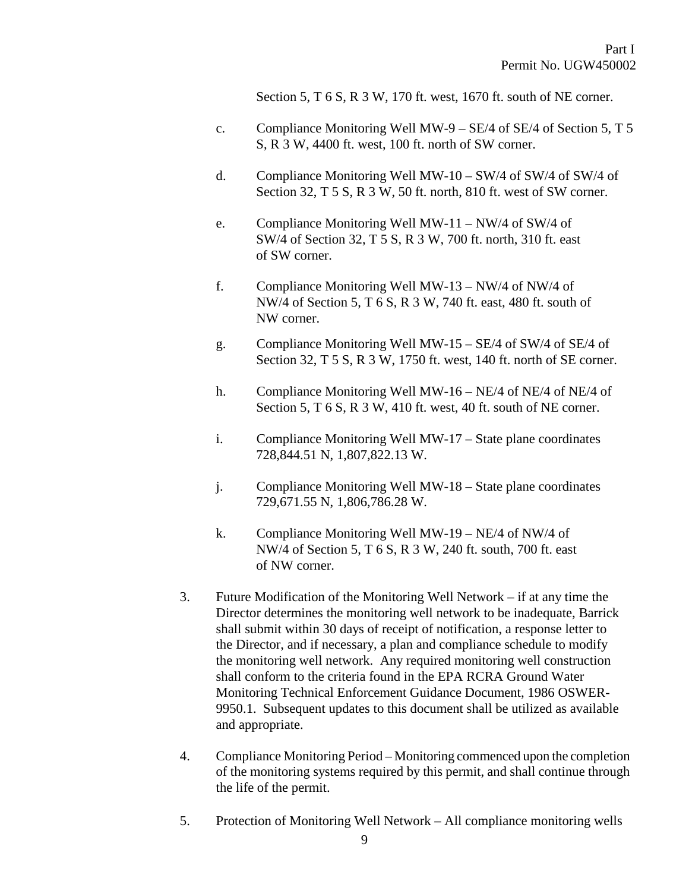Section 5, T 6 S, R 3 W, 170 ft. west, 1670 ft. south of NE corner.

- c. Compliance Monitoring Well MW-9  $SE/4$  of  $SE/4$  of Section 5, T 5 S, R 3 W, 4400 ft. west, 100 ft. north of SW corner.
- d. Compliance Monitoring Well MW-10 SW/4 of SW/4 of SW/4 of Section 32, T 5 S, R 3 W, 50 ft. north, 810 ft. west of SW corner.
- e. Compliance Monitoring Well MW-11 NW/4 of SW/4 of SW/4 of Section 32, T 5 S, R 3 W, 700 ft. north, 310 ft. east of SW corner.
- f. Compliance Monitoring Well MW-13 NW/4 of NW/4 of NW/4 of Section 5, T 6 S, R 3 W, 740 ft. east, 480 ft. south of NW corner.
- g. Compliance Monitoring Well MW-15 SE/4 of SW/4 of SE/4 of Section 32, T 5 S, R 3 W, 1750 ft. west, 140 ft. north of SE corner.
- h. Compliance Monitoring Well MW-16 NE/4 of NE/4 of NE/4 of Section 5, T 6 S, R 3 W, 410 ft. west, 40 ft. south of NE corner.
- i. Compliance Monitoring Well MW-17 State plane coordinates 728,844.51 N, 1,807,822.13 W.
- j. Compliance Monitoring Well MW-18 State plane coordinates 729,671.55 N, 1,806,786.28 W.
- k. Compliance Monitoring Well MW-19 NE/4 of NW/4 of NW/4 of Section 5, T 6 S, R 3 W, 240 ft. south, 700 ft. east of NW corner.
- 3. Future Modification of the Monitoring Well Network if at any time the Director determines the monitoring well network to be inadequate, Barrick shall submit within 30 days of receipt of notification, a response letter to the Director, and if necessary, a plan and compliance schedule to modify the monitoring well network. Any required monitoring well construction shall conform to the criteria found in the EPA RCRA Ground Water Monitoring Technical Enforcement Guidance Document, 1986 OSWER-9950.1. Subsequent updates to this document shall be utilized as available and appropriate.
- 4. Compliance Monitoring Period Monitoring commenced upon the completion of the monitoring systems required by this permit, and shall continue through the life of the permit.
- 5. Protection of Monitoring Well Network All compliance monitoring wells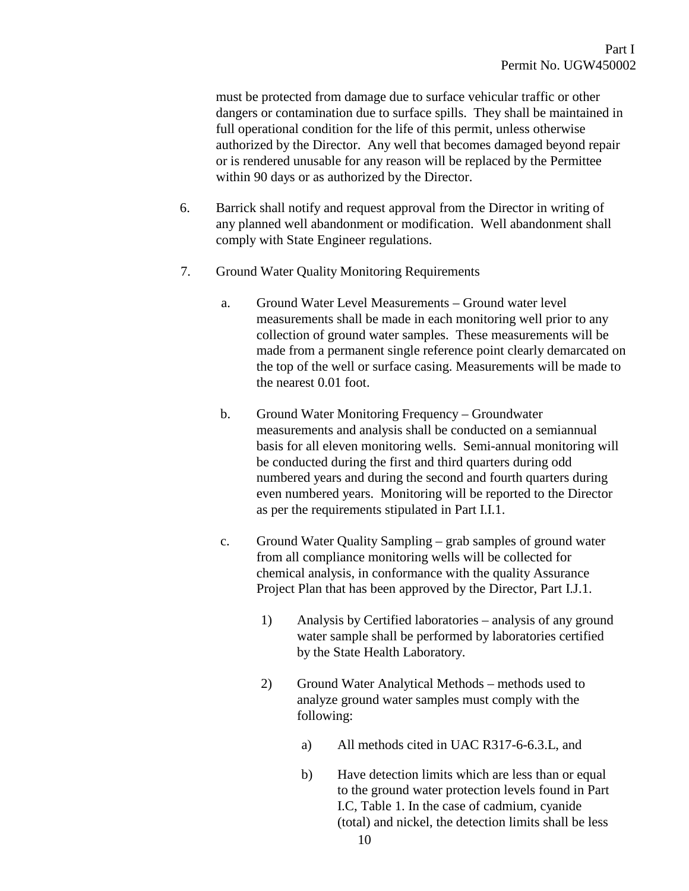must be protected from damage due to surface vehicular traffic or other dangers or contamination due to surface spills. They shall be maintained in full operational condition for the life of this permit, unless otherwise authorized by the Director. Any well that becomes damaged beyond repair or is rendered unusable for any reason will be replaced by the Permittee within 90 days or as authorized by the Director.

- 6. Barrick shall notify and request approval from the Director in writing of any planned well abandonment or modification. Well abandonment shall comply with State Engineer regulations.
- 7. Ground Water Quality Monitoring Requirements
	- a. Ground Water Level Measurements Ground water level measurements shall be made in each monitoring well prior to any collection of ground water samples. These measurements will be made from a permanent single reference point clearly demarcated on the top of the well or surface casing. Measurements will be made to the nearest 0.01 foot.
	- b. Ground Water Monitoring Frequency Groundwater measurements and analysis shall be conducted on a semiannual basis for all eleven monitoring wells. Semi-annual monitoring will be conducted during the first and third quarters during odd numbered years and during the second and fourth quarters during even numbered years. Monitoring will be reported to the Director as per the requirements stipulated in Part I.I.1.
	- c. Ground Water Quality Sampling grab samples of ground water from all compliance monitoring wells will be collected for chemical analysis, in conformance with the quality Assurance Project Plan that has been approved by the Director, Part I.J.1.
		- 1) Analysis by Certified laboratories analysis of any ground water sample shall be performed by laboratories certified by the State Health Laboratory.
		- 2) Ground Water Analytical Methods methods used to analyze ground water samples must comply with the following:
			- a) All methods cited in UAC R317-6-6.3.L, and
			- b) Have detection limits which are less than or equal to the ground water protection levels found in Part I.C, Table 1. In the case of cadmium, cyanide (total) and nickel, the detection limits shall be less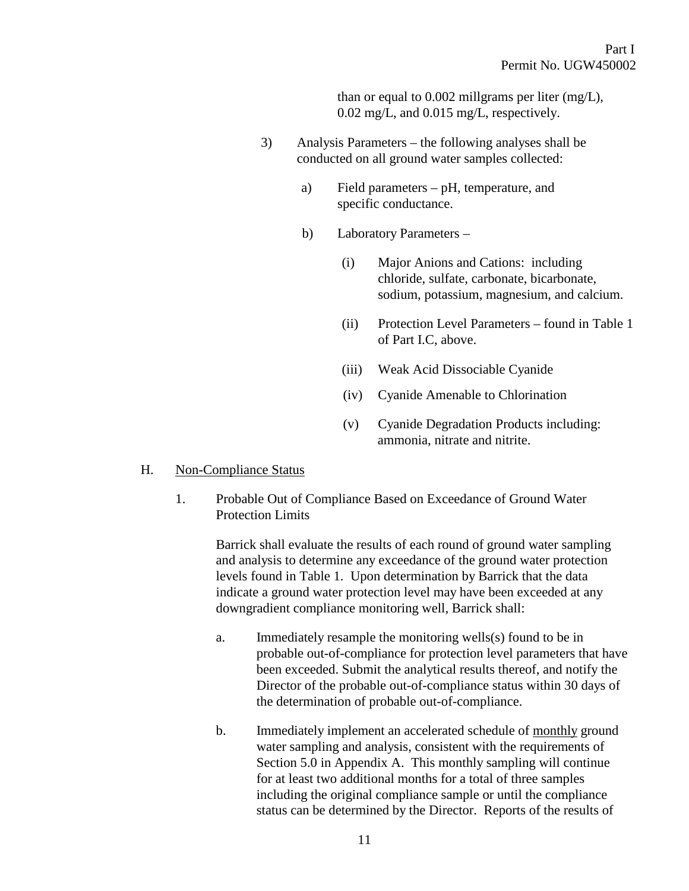than or equal to  $0.002$  millgrams per liter (mg/L), 0.02 mg/L, and 0.015 mg/L, respectively.

- 3) Analysis Parameters the following analyses shall be conducted on all ground water samples collected:
	- a) Field parameters pH, temperature, and specific conductance.
	- b) Laboratory Parameters
		- (i) Major Anions and Cations: including chloride, sulfate, carbonate, bicarbonate, sodium, potassium, magnesium, and calcium.
		- (ii) Protection Level Parameters found in Table 1 of Part I.C, above.
		- (iii) Weak Acid Dissociable Cyanide
		- (iv) Cyanide Amenable to Chlorination
		- (v) Cyanide Degradation Products including: ammonia, nitrate and nitrite.

#### H. Non-Compliance Status

1. Probable Out of Compliance Based on Exceedance of Ground Water Protection Limits

Barrick shall evaluate the results of each round of ground water sampling and analysis to determine any exceedance of the ground water protection levels found in Table 1. Upon determination by Barrick that the data indicate a ground water protection level may have been exceeded at any downgradient compliance monitoring well, Barrick shall:

- a. Immediately resample the monitoring wells(s) found to be in probable out-of-compliance for protection level parameters that have been exceeded. Submit the analytical results thereof, and notify the Director of the probable out-of-compliance status within 30 days of the determination of probable out-of-compliance.
- b. Immediately implement an accelerated schedule of monthly ground water sampling and analysis, consistent with the requirements of Section 5.0 in Appendix A. This monthly sampling will continue for at least two additional months for a total of three samples including the original compliance sample or until the compliance status can be determined by the Director. Reports of the results of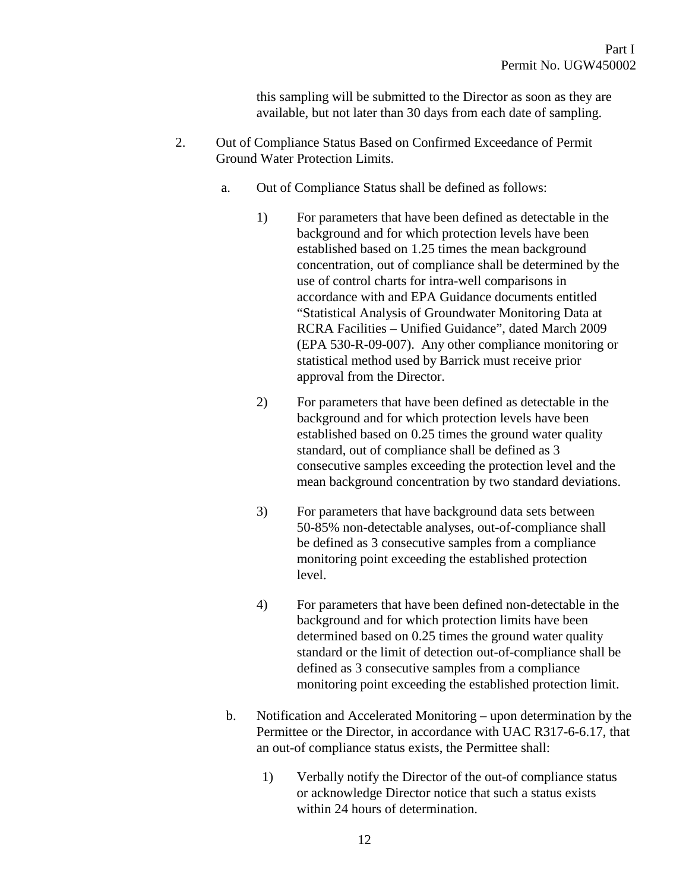this sampling will be submitted to the Director as soon as they are available, but not later than 30 days from each date of sampling.

- 2. Out of Compliance Status Based on Confirmed Exceedance of Permit Ground Water Protection Limits.
	- a. Out of Compliance Status shall be defined as follows:
		- 1) For parameters that have been defined as detectable in the background and for which protection levels have been established based on 1.25 times the mean background concentration, out of compliance shall be determined by the use of control charts for intra-well comparisons in accordance with and EPA Guidance documents entitled "Statistical Analysis of Groundwater Monitoring Data at RCRA Facilities – Unified Guidance", dated March 2009 (EPA 530-R-09-007). Any other compliance monitoring or statistical method used by Barrick must receive prior approval from the Director.
		- 2) For parameters that have been defined as detectable in the background and for which protection levels have been established based on 0.25 times the ground water quality standard, out of compliance shall be defined as 3 consecutive samples exceeding the protection level and the mean background concentration by two standard deviations.
		- 3) For parameters that have background data sets between 50-85% non-detectable analyses, out-of-compliance shall be defined as 3 consecutive samples from a compliance monitoring point exceeding the established protection level.
		- 4) For parameters that have been defined non-detectable in the background and for which protection limits have been determined based on 0.25 times the ground water quality standard or the limit of detection out-of-compliance shall be defined as 3 consecutive samples from a compliance monitoring point exceeding the established protection limit.
	- b. Notification and Accelerated Monitoring upon determination by the Permittee or the Director, in accordance with UAC R317-6-6.17, that an out-of compliance status exists, the Permittee shall:
		- 1) Verbally notify the Director of the out-of compliance status or acknowledge Director notice that such a status exists within 24 hours of determination.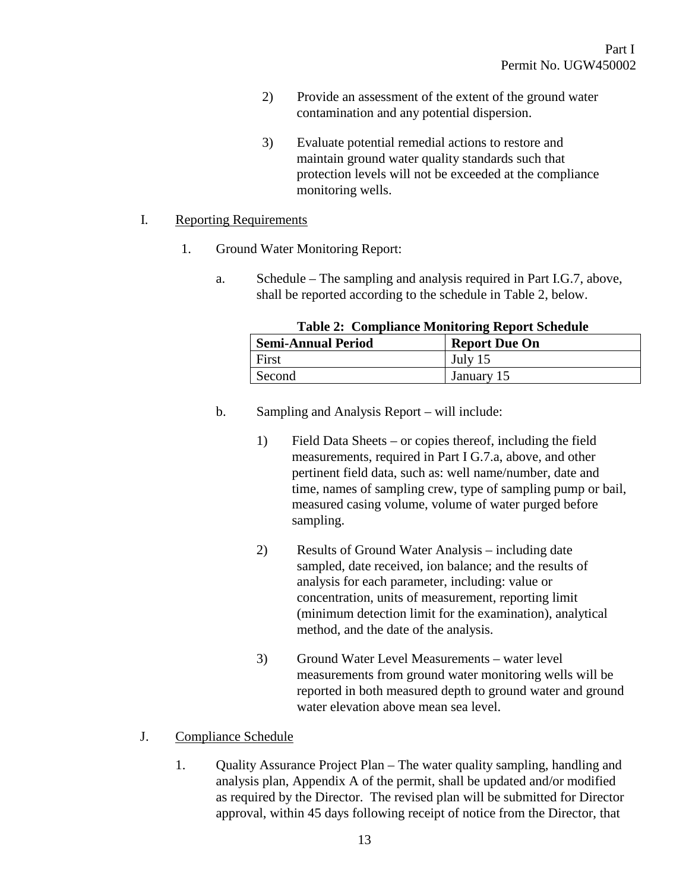- 2) Provide an assessment of the extent of the ground water contamination and any potential dispersion.
- 3) Evaluate potential remedial actions to restore and maintain ground water quality standards such that protection levels will not be exceeded at the compliance monitoring wells.

#### I. Reporting Requirements

- 1. Ground Water Monitoring Report:
	- a. Schedule The sampling and analysis required in Part I.G.7, above, shall be reported according to the schedule in Table 2, below.

| Table 2. Comphance Monitoring Report Schedule |                      |  |  |  |  |  |
|-----------------------------------------------|----------------------|--|--|--|--|--|
| <b>Semi-Annual Period</b>                     | <b>Report Due On</b> |  |  |  |  |  |
| First                                         | July 15              |  |  |  |  |  |
| Second                                        | January 15           |  |  |  |  |  |

#### **Table 2: Compliance Monitoring Report Schedule**

- b. Sampling and Analysis Report will include:
	- 1) Field Data Sheets or copies thereof, including the field measurements, required in Part I G.7.a, above, and other pertinent field data, such as: well name/number, date and time, names of sampling crew, type of sampling pump or bail, measured casing volume, volume of water purged before sampling.
	- 2) Results of Ground Water Analysis including date sampled, date received, ion balance; and the results of analysis for each parameter, including: value or concentration, units of measurement, reporting limit (minimum detection limit for the examination), analytical method, and the date of the analysis.
	- 3) Ground Water Level Measurements water level measurements from ground water monitoring wells will be reported in both measured depth to ground water and ground water elevation above mean sea level.
- J. Compliance Schedule
	- 1. Quality Assurance Project Plan The water quality sampling, handling and analysis plan, Appendix A of the permit, shall be updated and/or modified as required by the Director. The revised plan will be submitted for Director approval, within 45 days following receipt of notice from the Director, that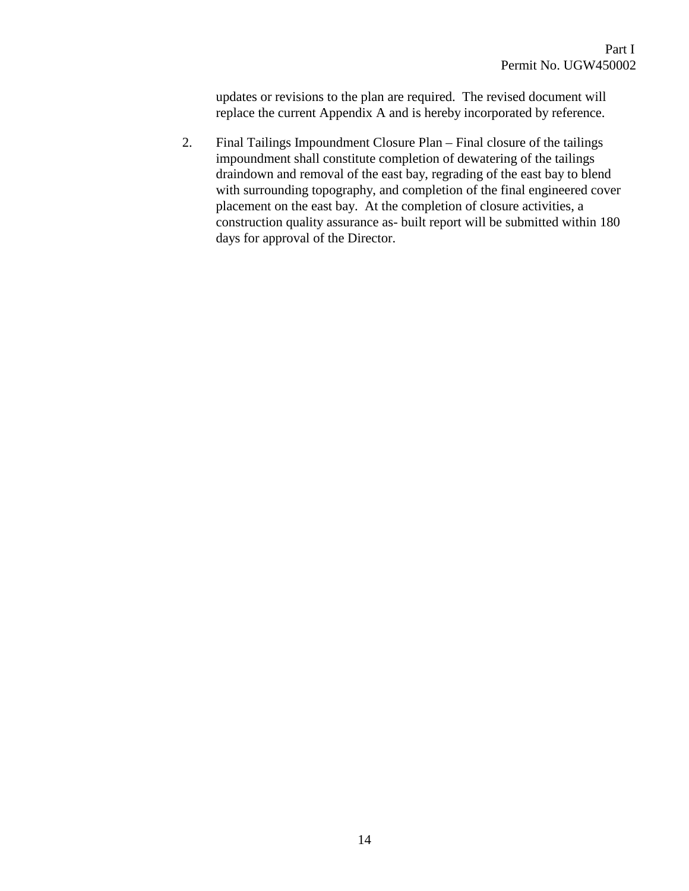updates or revisions to the plan are required. The revised document will replace the current Appendix A and is hereby incorporated by reference.

2. Final Tailings Impoundment Closure Plan – Final closure of the tailings impoundment shall constitute completion of dewatering of the tailings draindown and removal of the east bay, regrading of the east bay to blend with surrounding topography, and completion of the final engineered cover placement on the east bay. At the completion of closure activities, a construction quality assurance as- built report will be submitted within 180 days for approval of the Director.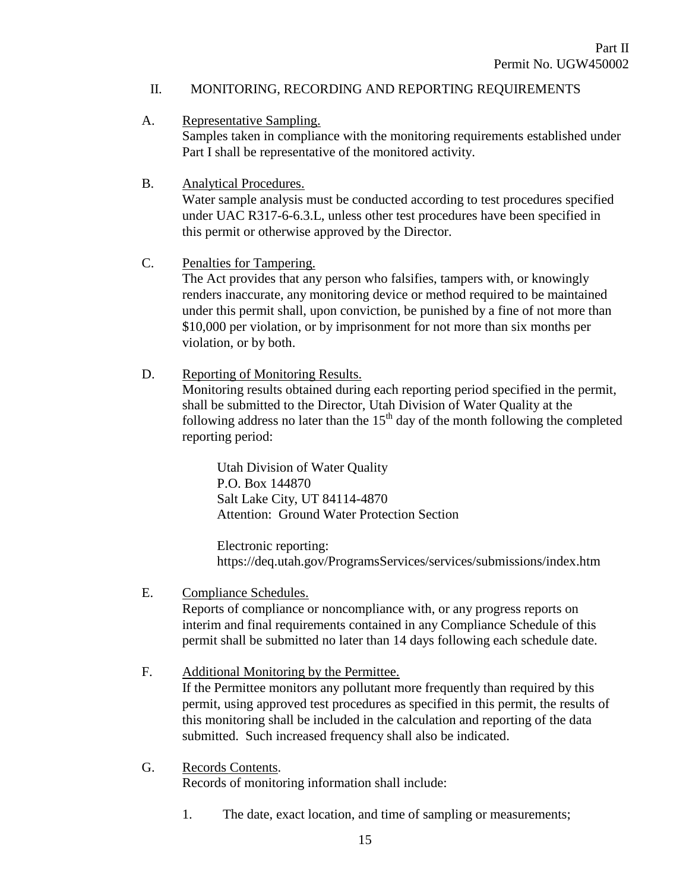#### II. MONITORING, RECORDING AND REPORTING REQUIREMENTS

- A. Representative Sampling. Samples taken in compliance with the monitoring requirements established under Part I shall be representative of the monitored activity.
- B. Analytical Procedures. Water sample analysis must be conducted according to test procedures specified under UAC R317-6-6.3.L, unless other test procedures have been specified in this permit or otherwise approved by the Director.
- C. Penalties for Tampering.

The Act provides that any person who falsifies, tampers with, or knowingly renders inaccurate, any monitoring device or method required to be maintained under this permit shall, upon conviction, be punished by a fine of not more than \$10,000 per violation, or by imprisonment for not more than six months per violation, or by both.

D. Reporting of Monitoring Results.

Monitoring results obtained during each reporting period specified in the permit, shall be submitted to the Director, Utah Division of Water Quality at the following address no later than the  $15<sup>th</sup>$  day of the month following the completed reporting period:

Utah Division of Water Quality P.O. Box 144870 Salt Lake City, UT 84114-4870 Attention: Ground Water Protection Section

Electronic reporting: https://deq.utah.gov/ProgramsServices/services/submissions/index.htm

E. Compliance Schedules.

Reports of compliance or noncompliance with, or any progress reports on interim and final requirements contained in any Compliance Schedule of this permit shall be submitted no later than 14 days following each schedule date.

F. Additional Monitoring by the Permittee.

If the Permittee monitors any pollutant more frequently than required by this permit, using approved test procedures as specified in this permit, the results of this monitoring shall be included in the calculation and reporting of the data submitted. Such increased frequency shall also be indicated.

- G. Records Contents. Records of monitoring information shall include:
	- 1. The date, exact location, and time of sampling or measurements;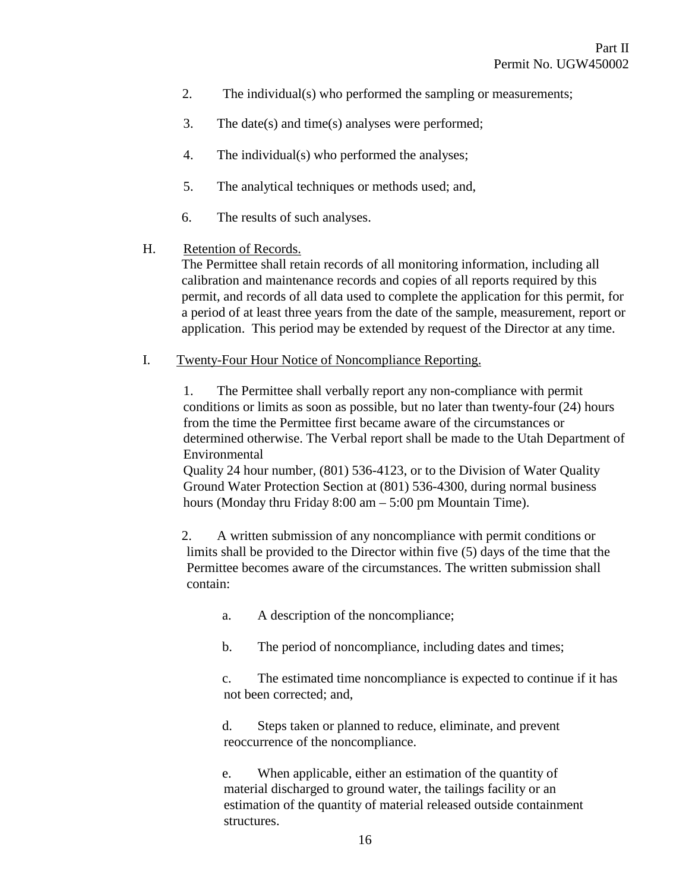- 2. The individual(s) who performed the sampling or measurements;
- 3. The date(s) and time(s) analyses were performed;
- 4. The individual(s) who performed the analyses;
- 5. The analytical techniques or methods used; and,
- 6. The results of such analyses.

## H. Retention of Records.

The Permittee shall retain records of all monitoring information, including all calibration and maintenance records and copies of all reports required by this permit, and records of all data used to complete the application for this permit, for a period of at least three years from the date of the sample, measurement, report or application. This period may be extended by request of the Director at any time.

## I. Twenty-Four Hour Notice of Noncompliance Reporting.

1. The Permittee shall verbally report any non-compliance with permit conditions or limits as soon as possible, but no later than twenty-four (24) hours from the time the Permittee first became aware of the circumstances or determined otherwise. The Verbal report shall be made to the Utah Department of Environmental

Quality 24 hour number, (801) 536-4123, or to the Division of Water Quality Ground Water Protection Section at (801) 536-4300, during normal business hours (Monday thru Friday 8:00 am – 5:00 pm Mountain Time).

2. A written submission of any noncompliance with permit conditions or limits shall be provided to the Director within five (5) days of the time that the Permittee becomes aware of the circumstances. The written submission shall contain:

a. A description of the noncompliance;

b. The period of noncompliance, including dates and times;

c. The estimated time noncompliance is expected to continue if it has not been corrected; and,

d. Steps taken or planned to reduce, eliminate, and prevent reoccurrence of the noncompliance.

e. When applicable, either an estimation of the quantity of material discharged to ground water, the tailings facility or an estimation of the quantity of material released outside containment structures.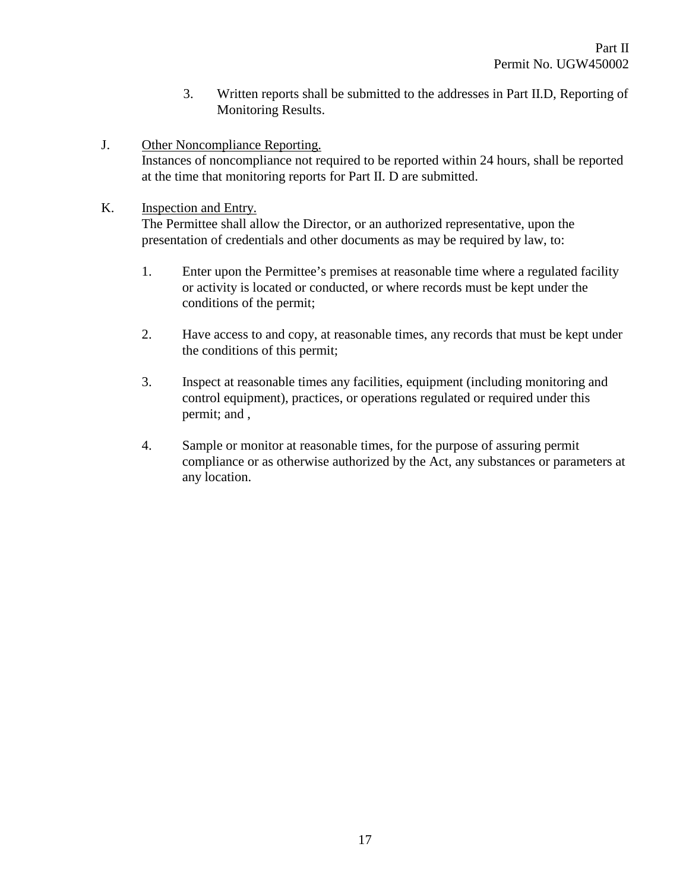3. Written reports shall be submitted to the addresses in Part II.D, Reporting of Monitoring Results.

## J. Other Noncompliance Reporting.

Instances of noncompliance not required to be reported within 24 hours, shall be reported at the time that monitoring reports for Part II. D are submitted.

K. Inspection and Entry.

The Permittee shall allow the Director, or an authorized representative, upon the presentation of credentials and other documents as may be required by law, to:

- 1. Enter upon the Permittee's premises at reasonable time where a regulated facility or activity is located or conducted, or where records must be kept under the conditions of the permit;
- 2. Have access to and copy, at reasonable times, any records that must be kept under the conditions of this permit;
- 3. Inspect at reasonable times any facilities, equipment (including monitoring and control equipment), practices, or operations regulated or required under this permit; and ,
- 4. Sample or monitor at reasonable times, for the purpose of assuring permit compliance or as otherwise authorized by the Act, any substances or parameters at any location.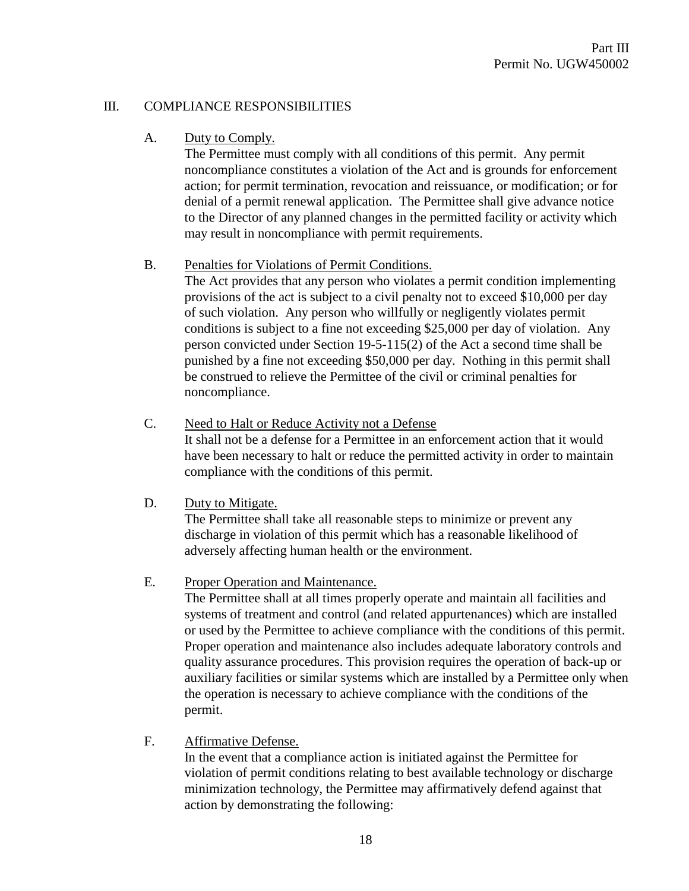## III. COMPLIANCE RESPONSIBILITIES

#### A. Duty to Comply.

The Permittee must comply with all conditions of this permit. Any permit noncompliance constitutes a violation of the Act and is grounds for enforcement action; for permit termination, revocation and reissuance, or modification; or for denial of a permit renewal application. The Permittee shall give advance notice to the Director of any planned changes in the permitted facility or activity which may result in noncompliance with permit requirements.

## B. Penalties for Violations of Permit Conditions.

The Act provides that any person who violates a permit condition implementing provisions of the act is subject to a civil penalty not to exceed \$10,000 per day of such violation. Any person who willfully or negligently violates permit conditions is subject to a fine not exceeding \$25,000 per day of violation. Any person convicted under Section 19-5-115(2) of the Act a second time shall be punished by a fine not exceeding \$50,000 per day. Nothing in this permit shall be construed to relieve the Permittee of the civil or criminal penalties for noncompliance.

C. Need to Halt or Reduce Activity not a Defense

It shall not be a defense for a Permittee in an enforcement action that it would have been necessary to halt or reduce the permitted activity in order to maintain compliance with the conditions of this permit.

D. Duty to Mitigate.

The Permittee shall take all reasonable steps to minimize or prevent any discharge in violation of this permit which has a reasonable likelihood of adversely affecting human health or the environment.

## E. Proper Operation and Maintenance.

The Permittee shall at all times properly operate and maintain all facilities and systems of treatment and control (and related appurtenances) which are installed or used by the Permittee to achieve compliance with the conditions of this permit. Proper operation and maintenance also includes adequate laboratory controls and quality assurance procedures. This provision requires the operation of back-up or auxiliary facilities or similar systems which are installed by a Permittee only when the operation is necessary to achieve compliance with the conditions of the permit.

F. Affirmative Defense.

In the event that a compliance action is initiated against the Permittee for violation of permit conditions relating to best available technology or discharge minimization technology, the Permittee may affirmatively defend against that action by demonstrating the following: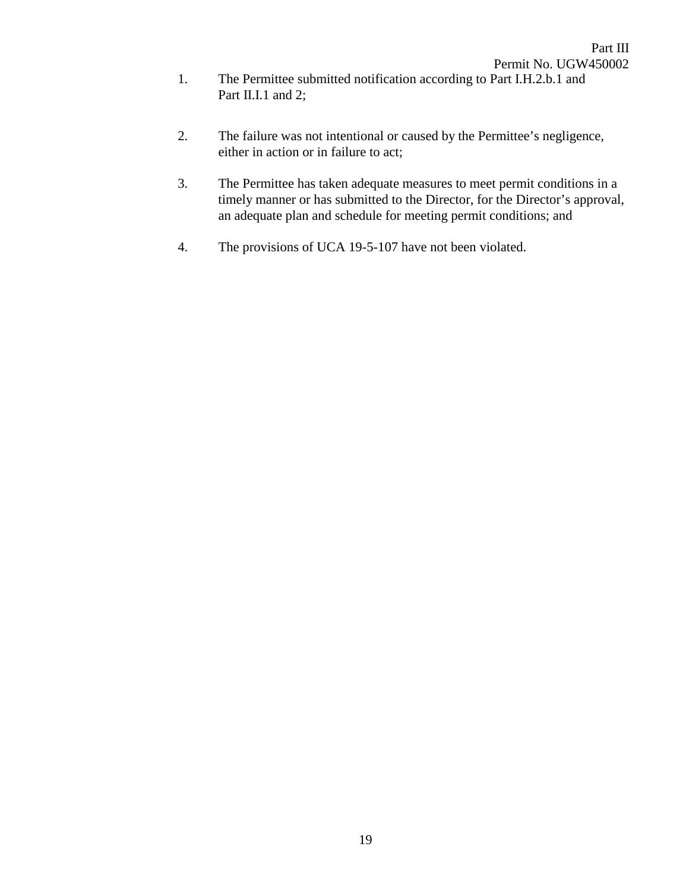- 1. The Permittee submitted notification according to Part I.H.2.b.1 and Part II.I.1 and 2;
- 2. The failure was not intentional or caused by the Permittee's negligence, either in action or in failure to act;
- 3. The Permittee has taken adequate measures to meet permit conditions in a timely manner or has submitted to the Director, for the Director's approval, an adequate plan and schedule for meeting permit conditions; and
- 4. The provisions of UCA 19-5-107 have not been violated.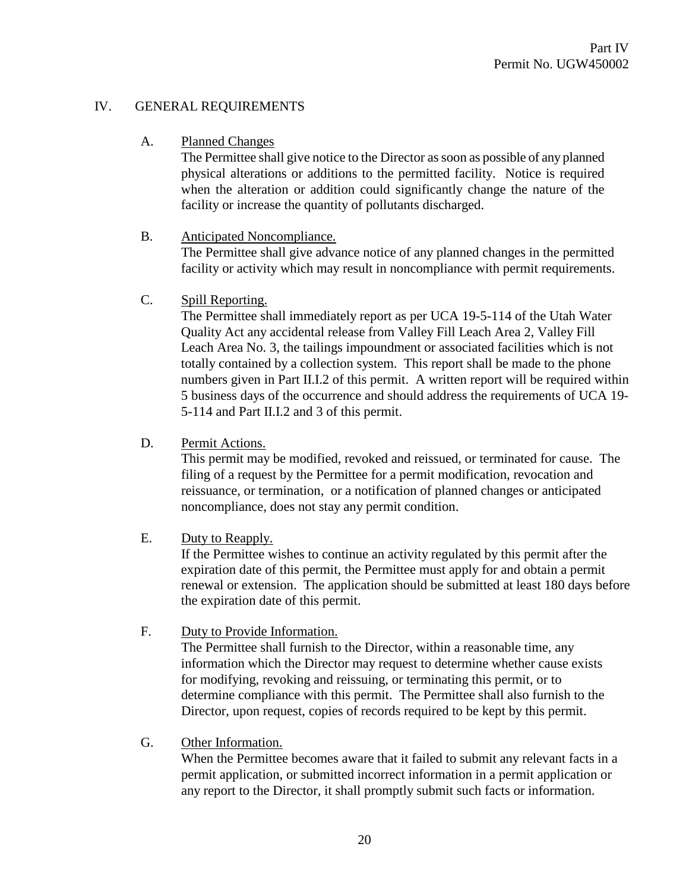## IV. GENERAL REQUIREMENTS

## A. Planned Changes

The Permittee shall give notice to the Director as soon as possible of any planned physical alterations or additions to the permitted facility. Notice is required when the alteration or addition could significantly change the nature of the facility or increase the quantity of pollutants discharged.

## B. Anticipated Noncompliance.

The Permittee shall give advance notice of any planned changes in the permitted facility or activity which may result in noncompliance with permit requirements.

# C. Spill Reporting.

The Permittee shall immediately report as per UCA 19-5-114 of the Utah Water Quality Act any accidental release from Valley Fill Leach Area 2, Valley Fill Leach Area No. 3, the tailings impoundment or associated facilities which is not totally contained by a collection system. This report shall be made to the phone numbers given in Part II.I.2 of this permit. A written report will be required within 5 business days of the occurrence and should address the requirements of UCA 19- 5-114 and Part II.I.2 and 3 of this permit.

# D. Permit Actions.

This permit may be modified, revoked and reissued, or terminated for cause. The filing of a request by the Permittee for a permit modification, revocation and reissuance, or termination, or a notification of planned changes or anticipated noncompliance, does not stay any permit condition.

## E. Duty to Reapply.

If the Permittee wishes to continue an activity regulated by this permit after the expiration date of this permit, the Permittee must apply for and obtain a permit renewal or extension. The application should be submitted at least 180 days before the expiration date of this permit.

## F. Duty to Provide Information.

The Permittee shall furnish to the Director, within a reasonable time, any information which the Director may request to determine whether cause exists for modifying, revoking and reissuing, or terminating this permit, or to determine compliance with this permit. The Permittee shall also furnish to the Director, upon request, copies of records required to be kept by this permit.

## G. Other Information.

When the Permittee becomes aware that it failed to submit any relevant facts in a permit application, or submitted incorrect information in a permit application or any report to the Director, it shall promptly submit such facts or information.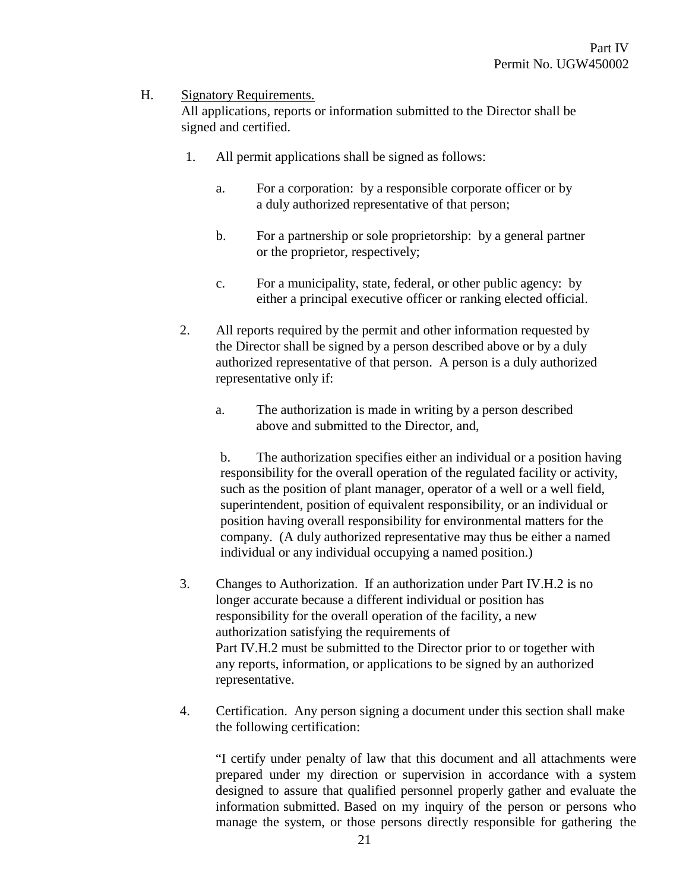#### H. Signatory Requirements.

All applications, reports or information submitted to the Director shall be signed and certified.

- 1. All permit applications shall be signed as follows:
	- a. For a corporation: by a responsible corporate officer or by a duly authorized representative of that person;
	- b. For a partnership or sole proprietorship: by a general partner or the proprietor, respectively;
	- c. For a municipality, state, federal, or other public agency: by either a principal executive officer or ranking elected official.
- 2. All reports required by the permit and other information requested by the Director shall be signed by a person described above or by a duly authorized representative of that person. A person is a duly authorized representative only if:
	- a. The authorization is made in writing by a person described above and submitted to the Director, and,

b. The authorization specifies either an individual or a position having responsibility for the overall operation of the regulated facility or activity, such as the position of plant manager, operator of a well or a well field, superintendent, position of equivalent responsibility, or an individual or position having overall responsibility for environmental matters for the company. (A duly authorized representative may thus be either a named individual or any individual occupying a named position.)

- 3. Changes to Authorization. If an authorization under Part IV.H.2 is no longer accurate because a different individual or position has responsibility for the overall operation of the facility, a new authorization satisfying the requirements of Part IV.H.2 must be submitted to the Director prior to or together with any reports, information, or applications to be signed by an authorized representative.
- 4. Certification. Any person signing a document under this section shall make the following certification:

"I certify under penalty of law that this document and all attachments were prepared under my direction or supervision in accordance with a system designed to assure that qualified personnel properly gather and evaluate the information submitted. Based on my inquiry of the person or persons who manage the system, or those persons directly responsible for gathering the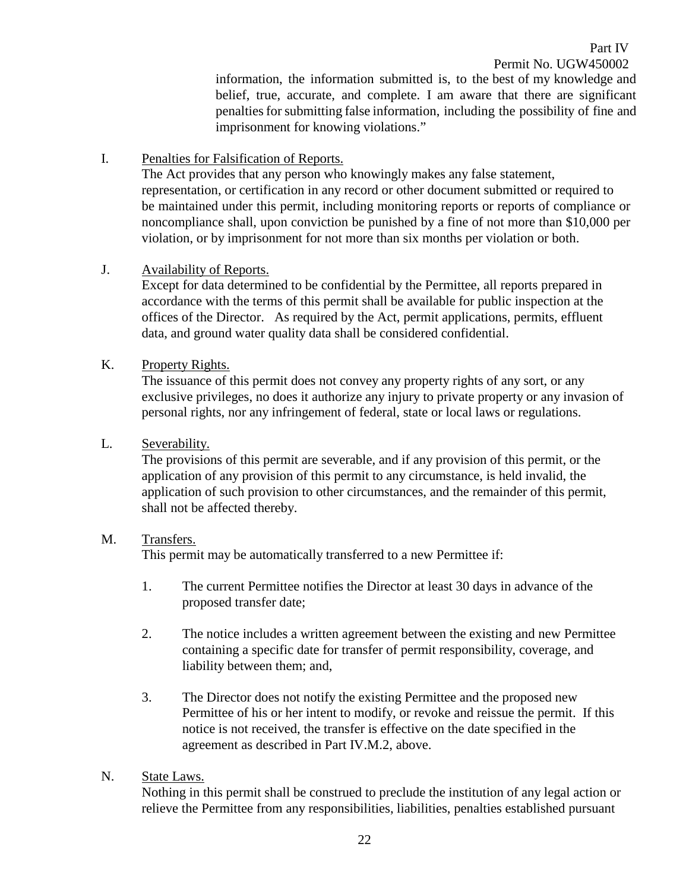information, the information submitted is, to the best of my knowledge and belief, true, accurate, and complete. I am aware that there are significant penalties for submitting false information, including the possibility of fine and imprisonment for knowing violations."

## I. Penalties for Falsification of Reports.

The Act provides that any person who knowingly makes any false statement, representation, or certification in any record or other document submitted or required to be maintained under this permit, including monitoring reports or reports of compliance or noncompliance shall, upon conviction be punished by a fine of not more than \$10,000 per violation, or by imprisonment for not more than six months per violation or both.

# J. Availability of Reports.

Except for data determined to be confidential by the Permittee, all reports prepared in accordance with the terms of this permit shall be available for public inspection at the offices of the Director. As required by the Act, permit applications, permits, effluent data, and ground water quality data shall be considered confidential.

# K. Property Rights.

The issuance of this permit does not convey any property rights of any sort, or any exclusive privileges, no does it authorize any injury to private property or any invasion of personal rights, nor any infringement of federal, state or local laws or regulations.

# L. Severability.

The provisions of this permit are severable, and if any provision of this permit, or the application of any provision of this permit to any circumstance, is held invalid, the application of such provision to other circumstances, and the remainder of this permit, shall not be affected thereby.

## M. Transfers.

This permit may be automatically transferred to a new Permittee if:

- 1. The current Permittee notifies the Director at least 30 days in advance of the proposed transfer date;
- 2. The notice includes a written agreement between the existing and new Permittee containing a specific date for transfer of permit responsibility, coverage, and liability between them; and,
- 3. The Director does not notify the existing Permittee and the proposed new Permittee of his or her intent to modify, or revoke and reissue the permit. If this notice is not received, the transfer is effective on the date specified in the agreement as described in Part IV.M.2, above.

## N. State Laws.

Nothing in this permit shall be construed to preclude the institution of any legal action or relieve the Permittee from any responsibilities, liabilities, penalties established pursuant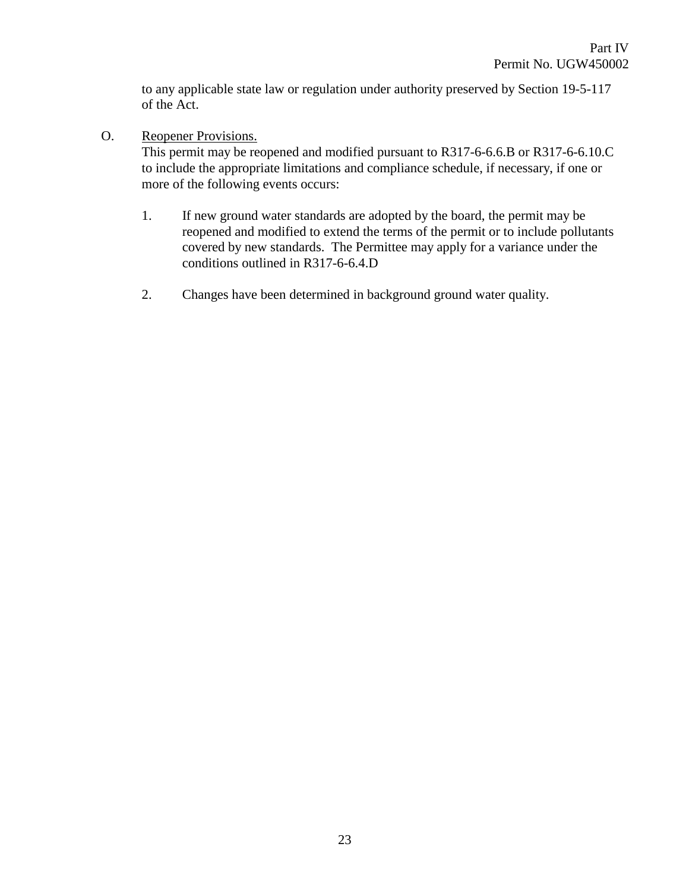to any applicable state law or regulation under authority preserved by Section 19-5-117 of the Act.

O. Reopener Provisions.

This permit may be reopened and modified pursuant to R317-6-6.6.B or R317-6-6.10.C to include the appropriate limitations and compliance schedule, if necessary, if one or more of the following events occurs:

- 1. If new ground water standards are adopted by the board, the permit may be reopened and modified to extend the terms of the permit or to include pollutants covered by new standards. The Permittee may apply for a variance under the conditions outlined in R317-6-6.4.D
- 2. Changes have been determined in background ground water quality.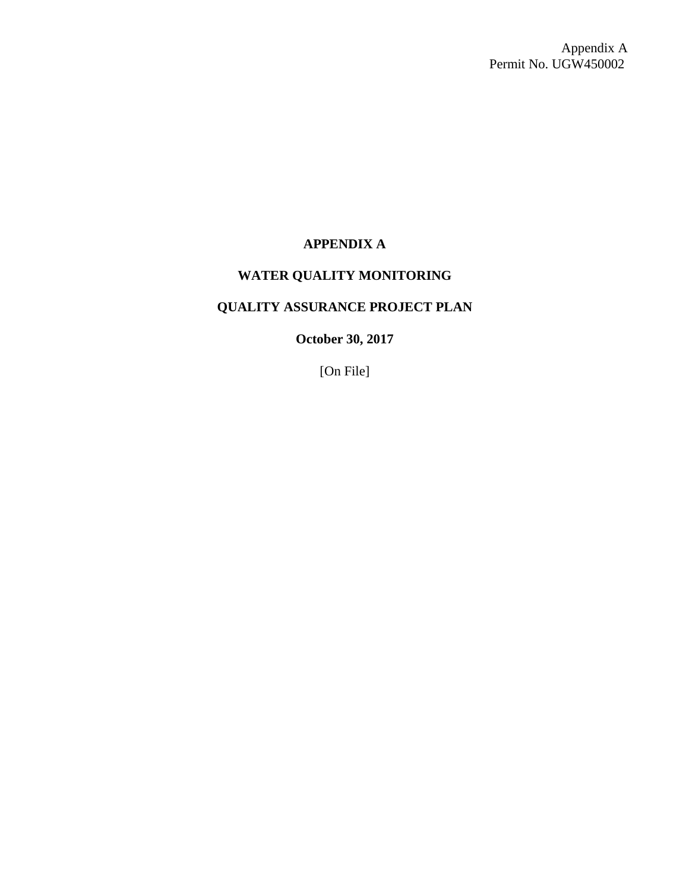# **APPENDIX A**

# **WATER QUALITY MONITORING**

# **QUALITY ASSURANCE PROJECT PLAN**

**October 30, 2017**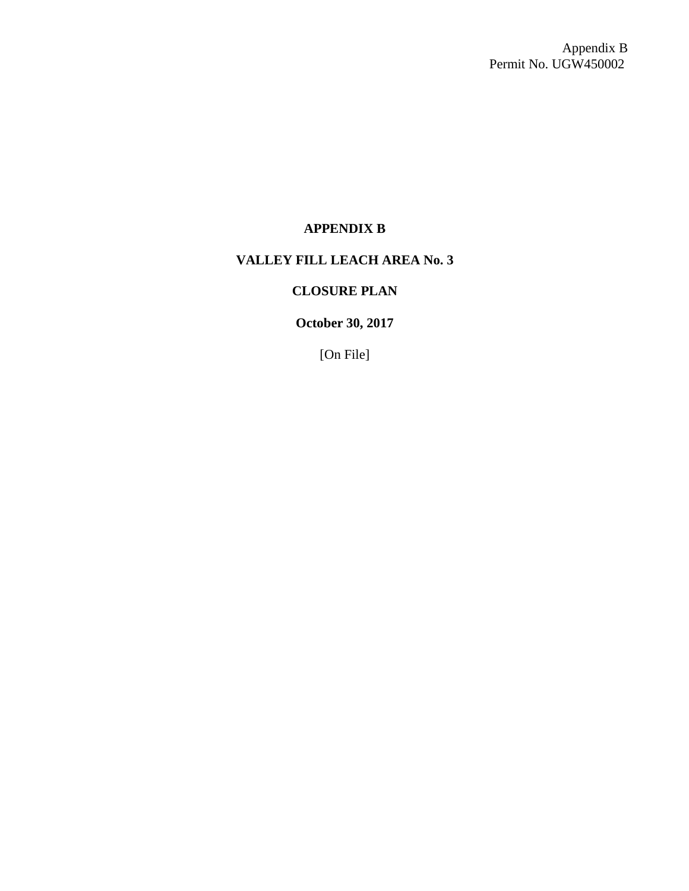# **APPENDIX B**

# **VALLEY FILL LEACH AREA No. 3**

## **CLOSURE PLAN**

**October 30, 2017**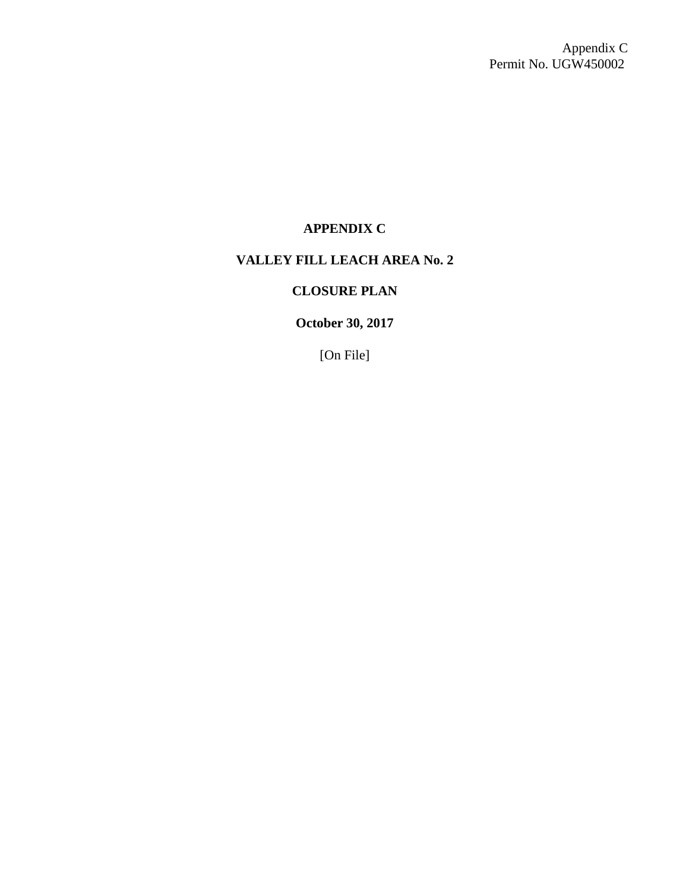# **APPENDIX C**

# **VALLEY FILL LEACH AREA No. 2**

## **CLOSURE PLAN**

**October 30, 2017**